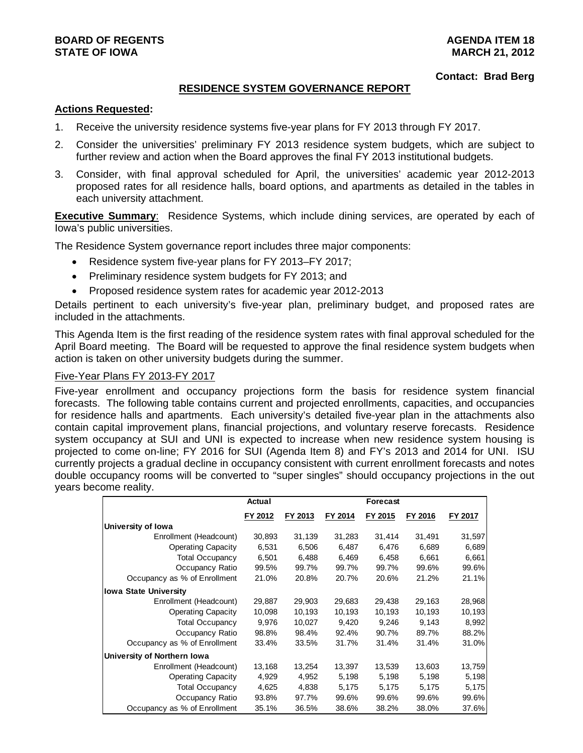### **Contact: Brad Berg**

## **RESIDENCE SYSTEM GOVERNANCE REPORT**

## **Actions Requested:**

- 1. Receive the university residence systems five-year plans for FY 2013 through FY 2017.
- 2. Consider the universities' preliminary FY 2013 residence system budgets, which are subject to further review and action when the Board approves the final FY 2013 institutional budgets.
- 3. Consider, with final approval scheduled for April, the universities' academic year 2012-2013 proposed rates for all residence halls, board options, and apartments as detailed in the tables in each university attachment.

**Executive Summary**: Residence Systems, which include dining services, are operated by each of Iowa's public universities.

The Residence System governance report includes three major components:

- Residence system five-year plans for FY 2013–FY 2017;
- Preliminary residence system budgets for FY 2013; and
- Proposed residence system rates for academic year 2012-2013

Details pertinent to each university's five-year plan, preliminary budget, and proposed rates are included in the attachments.

This Agenda Item is the first reading of the residence system rates with final approval scheduled for the April Board meeting. The Board will be requested to approve the final residence system budgets when action is taken on other university budgets during the summer.

## Five-Year Plans FY 2013-FY 2017

Five-year enrollment and occupancy projections form the basis for residence system financial forecasts. The following table contains current and projected enrollments, capacities, and occupancies for residence halls and apartments. Each university's detailed five-year plan in the attachments also contain capital improvement plans, financial projections, and voluntary reserve forecasts. Residence system occupancy at SUI and UNI is expected to increase when new residence system housing is projected to come on-line; FY 2016 for SUI (Agenda Item 8) and FY's 2013 and 2014 for UNI. ISU currently projects a gradual decline in occupancy consistent with current enrollment forecasts and notes double occupancy rooms will be converted to "super singles" should occupancy projections in the out years become reality.

|                              | Actual  |         |         | Forecast |         |         |
|------------------------------|---------|---------|---------|----------|---------|---------|
|                              | FY 2012 | FY 2013 | FY 2014 | FY 2015  | FY 2016 | FY 2017 |
| University of Iowa           |         |         |         |          |         |         |
| Enrollment (Headcount)       | 30,893  | 31,139  | 31,283  | 31,414   | 31,491  | 31,597  |
| <b>Operating Capacity</b>    | 6,531   | 6,506   | 6,487   | 6,476    | 6,689   | 6,689   |
| <b>Total Occupancy</b>       | 6,501   | 6,488   | 6,469   | 6,458    | 6,661   | 6,661   |
| Occupancy Ratio              | 99.5%   | 99.7%   | 99.7%   | 99.7%    | 99.6%   | 99.6%   |
| Occupancy as % of Enrollment | 21.0%   | 20.8%   | 20.7%   | 20.6%    | 21.2%   | 21.1%   |
| <b>Iowa State University</b> |         |         |         |          |         |         |
| Enrollment (Headcount)       | 29,887  | 29,903  | 29,683  | 29,438   | 29,163  | 28,968  |
| <b>Operating Capacity</b>    | 10,098  | 10,193  | 10,193  | 10,193   | 10,193  | 10,193  |
| <b>Total Occupancy</b>       | 9,976   | 10,027  | 9,420   | 9,246    | 9,143   | 8,992   |
| Occupancy Ratio              | 98.8%   | 98.4%   | 92.4%   | 90.7%    | 89.7%   | 88.2%   |
| Occupancy as % of Enrollment | 33.4%   | 33.5%   | 31.7%   | 31.4%    | 31.4%   | 31.0%   |
| University of Northern Iowa  |         |         |         |          |         |         |
| Enrollment (Headcount)       | 13,168  | 13,254  | 13,397  | 13,539   | 13,603  | 13,759  |
| <b>Operating Capacity</b>    | 4,929   | 4,952   | 5,198   | 5,198    | 5,198   | 5,198   |
| <b>Total Occupancy</b>       | 4,625   | 4,838   | 5,175   | 5,175    | 5,175   | 5,175   |
| Occupancy Ratio              | 93.8%   | 97.7%   | 99.6%   | 99.6%    | 99.6%   | 99.6%   |
| Occupancy as % of Enrollment | 35.1%   | 36.5%   | 38.6%   | 38.2%    | 38.0%   | 37.6%   |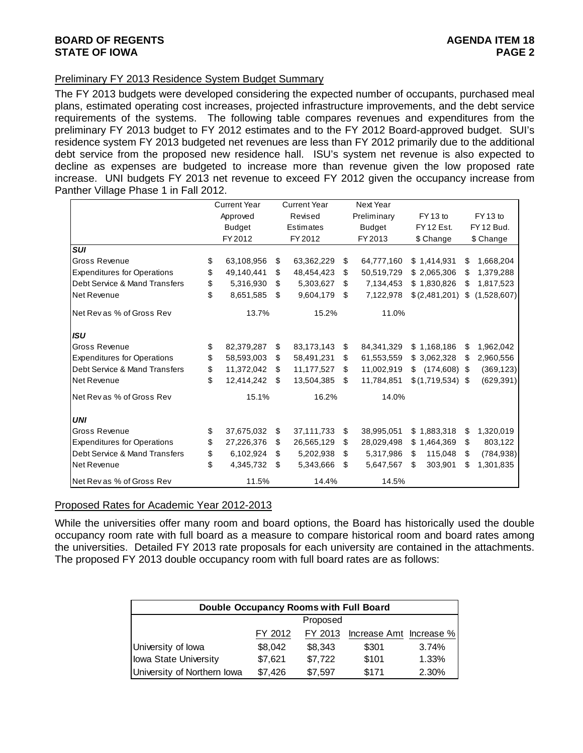# **BOARD OF REGENTS** AGENUS AGENDA ITEM 18 **STATE OF IOWA** PAGE 2

## Preliminary FY 2013 Residence System Budget Summary

The FY 2013 budgets were developed considering the expected number of occupants, purchased meal plans, estimated operating cost increases, projected infrastructure improvements, and the debt service requirements of the systems. The following table compares revenues and expenditures from the preliminary FY 2013 budget to FY 2012 estimates and to the FY 2012 Board-approved budget. SUI's residence system FY 2013 budgeted net revenues are less than FY 2012 primarily due to the additional debt service from the proposed new residence hall. ISU's system net revenue is also expected to decline as expenses are budgeted to increase more than revenue given the low proposed rate increase. UNI budgets FY 2013 net revenue to exceed FY 2012 given the occupancy increase from Panther Village Phase 1 in Fall 2012.

|                                    | <b>Current Year</b> | <b>Current Year</b> |            | Next Year          |                     |     |                     |
|------------------------------------|---------------------|---------------------|------------|--------------------|---------------------|-----|---------------------|
|                                    | Approved            |                     | Revised    | Preliminary        | FY <sub>13</sub> to |     | FY <sub>13</sub> to |
|                                    | <b>Budget</b>       |                     | Estimates  | <b>Budget</b>      | <b>FY 12 Est.</b>   |     | FY 12 Bud.          |
|                                    | FY 2012             |                     | FY 2012    | FY 2013            | \$ Change           |     | \$ Change           |
| <b>SUI</b>                         |                     |                     |            |                    |                     |     |                     |
| Gross Revenue                      | \$<br>63,108,956    | \$                  | 63,362,229 | \$<br>64,777,160   | \$1,414,931         | \$  | 1,668,204           |
| <b>Expenditures for Operations</b> | \$<br>49,140,441    | \$.                 | 48,454,423 | \$<br>50,519,729   | \$2,065,306         | S   | 1,379,288           |
| Debt Service & Mand Transfers      | \$<br>5,316,930     | \$                  | 5,303,627  | \$<br>7,134,453    | \$1,830,826         | \$  | 1,817,523           |
| Net Revenue                        | \$<br>8,651,585     | \$.                 | 9,604,179  | \$<br>7,122,978    | \$(2,481,201)       | S   | (1,528,607)         |
| Net Rev as % of Gross Rev          | 13.7%               |                     | 15.2%      | 11.0%              |                     |     |                     |
| <b>ISU</b>                         |                     |                     |            |                    |                     |     |                     |
| Gross Revenue                      | \$<br>82,379,287    | \$                  | 83,173,143 | \$<br>84, 341, 329 | \$1,168,186         | \$  | 1,962,042           |
| <b>Expenditures for Operations</b> | \$<br>58,593,003    | \$.                 | 58,491,231 | \$<br>61,553,559   | \$3,062,328         | \$. | 2,960,556           |
| Debt Service & Mand Transfers      | \$<br>11,372,042    | \$                  | 11,177,527 | \$<br>11,002,919   | S<br>(174, 608)     | -\$ | (369, 123)          |
| Net Revenue                        | \$<br>12,414,242    | -\$                 | 13,504,385 | \$<br>11,784,851   | \$(1,719,534)       | -\$ | (629, 391)          |
| Net Rev as % of Gross Rev          | 15.1%               |                     | 16.2%      | 14.0%              |                     |     |                     |
| <b>UNI</b>                         |                     |                     |            |                    |                     |     |                     |
| <b>Gross Revenue</b>               | \$<br>37,675,032    | S                   | 37,111,733 | \$<br>38,995,051   | \$1,883,318         | \$  | 1,320,019           |
| <b>Expenditures for Operations</b> | \$<br>27,226,376    | \$                  | 26,565,129 | \$<br>28,029,498   | \$1,464,369         | \$  | 803,122             |
| Debt Service & Mand Transfers      | \$<br>6,102,924     | \$                  | 5,202,938  | \$<br>5,317,986    | \$<br>115,048       | \$  | (784, 938)          |
| Net Revenue                        | \$<br>4,345,732     | \$                  | 5,343,666  | \$<br>5,647,567    | 303,901<br>\$       | \$  | 1,301,835           |
| Net Rev as % of Gross Rev          | 11.5%               |                     | 14.4%      | 14.5%              |                     |     |                     |

### Proposed Rates for Academic Year 2012-2013

While the universities offer many room and board options, the Board has historically used the double occupancy room rate with full board as a measure to compare historical room and board rates among the universities. Detailed FY 2013 rate proposals for each university are contained in the attachments. The proposed FY 2013 double occupancy room with full board rates are as follows:

|                             | <b>Double Occupancy Rooms with Full Board</b> |          |                         |       |  |  |  |  |  |  |  |  |
|-----------------------------|-----------------------------------------------|----------|-------------------------|-------|--|--|--|--|--|--|--|--|
|                             |                                               | Proposed |                         |       |  |  |  |  |  |  |  |  |
|                             | FY 2012                                       | FY 2013  | lncrease Amt Increase % |       |  |  |  |  |  |  |  |  |
| University of lowa          | \$8,042                                       | \$8.343  | \$301                   | 3.74% |  |  |  |  |  |  |  |  |
| Iowa State University       | \$7,621                                       | \$7,722  | \$101                   | 1.33% |  |  |  |  |  |  |  |  |
| University of Northern Iowa | \$7,426                                       | \$7,597  | \$171                   | 2.30% |  |  |  |  |  |  |  |  |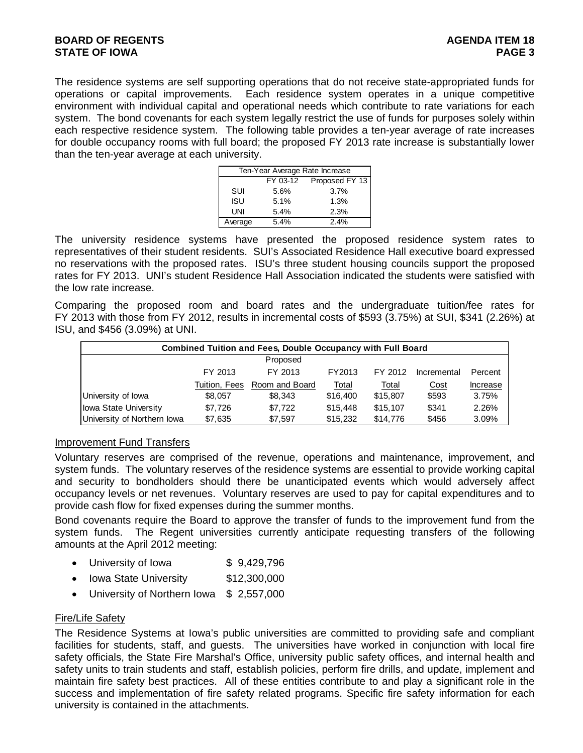The residence systems are self supporting operations that do not receive state-appropriated funds for operations or capital improvements. Each residence system operates in a unique competitive environment with individual capital and operational needs which contribute to rate variations for each system. The bond covenants for each system legally restrict the use of funds for purposes solely within each respective residence system. The following table provides a ten-year average of rate increases for double occupancy rooms with full board; the proposed FY 2013 rate increase is substantially lower than the ten-year average at each university.

|         |          | Ten-Year Average Rate Increase |
|---------|----------|--------------------------------|
|         | FY 03-12 | Proposed FY 13                 |
| SUI     | 5.6%     | 3.7%                           |
| ISU     | 5.1%     | 1.3%                           |
| UNI     | 5.4%     | 2.3%                           |
| Average | 5.4%     | 2.4%                           |

The university residence systems have presented the proposed residence system rates to representatives of their student residents. SUI's Associated Residence Hall executive board expressed no reservations with the proposed rates. ISU's three student housing councils support the proposed rates for FY 2013. UNI's student Residence Hall Association indicated the students were satisfied with the low rate increase.

Comparing the proposed room and board rates and the undergraduate tuition/fee rates for FY 2013 with those from FY 2012, results in incremental costs of \$593 (3.75%) at SUI, \$341 (2.26%) at ISU, and \$456 (3.09%) at UNI.

|                             |               | <b>Combined Tuition and Fees, Double Occupancy with Full Board</b> |          |          |             |          |
|-----------------------------|---------------|--------------------------------------------------------------------|----------|----------|-------------|----------|
|                             |               | Proposed                                                           |          |          |             |          |
|                             | FY 2013       | FY 2013                                                            | FY2013   | FY 2012  | Incremental | Percent  |
|                             | Tuition, Fees | Room and Board                                                     | Total    | Total    | Cost        | Increase |
| University of Iowa          | \$8,057       | \$8.343                                                            | \$16,400 | \$15,807 | \$593       | 3.75%    |
| Iowa State University       | \$7.726       | \$7.722                                                            | \$15,448 | \$15,107 | \$341       | 2.26%    |
| University of Northern Iowa | \$7,635       | \$7.597                                                            | \$15,232 | \$14,776 | \$456       | 3.09%    |

# Improvement Fund Transfers

Voluntary reserves are comprised of the revenue, operations and maintenance, improvement, and system funds. The voluntary reserves of the residence systems are essential to provide working capital and security to bondholders should there be unanticipated events which would adversely affect occupancy levels or net revenues. Voluntary reserves are used to pay for capital expenditures and to provide cash flow for fixed expenses during the summer months.

Bond covenants require the Board to approve the transfer of funds to the improvement fund from the system funds. The Regent universities currently anticipate requesting transfers of the following amounts at the April 2012 meeting:

- University of Iowa  $$9,429,796$
- Iowa State University \$12,300,000
- University of Northern Iowa \$ 2,557,000

## Fire/Life Safety

The Residence Systems at Iowa's public universities are committed to providing safe and compliant facilities for students, staff, and guests. The universities have worked in conjunction with local fire safety officials, the State Fire Marshal's Office, university public safety offices, and internal health and safety units to train students and staff, establish policies, perform fire drills, and update, implement and maintain fire safety best practices. All of these entities contribute to and play a significant role in the success and implementation of fire safety related programs. Specific fire safety information for each university is contained in the attachments.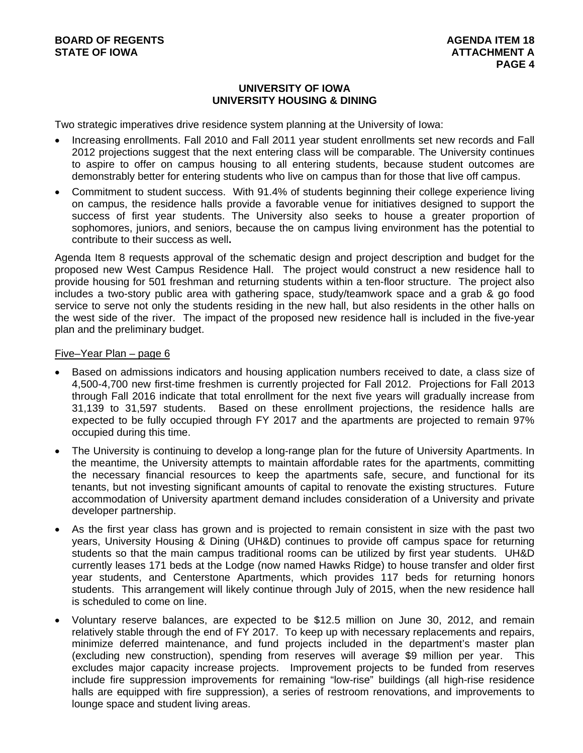# **UNIVERSITY OF IOWA UNIVERSITY HOUSING & DINING**

Two strategic imperatives drive residence system planning at the University of Iowa:

- Increasing enrollments. Fall 2010 and Fall 2011 year student enrollments set new records and Fall 2012 projections suggest that the next entering class will be comparable. The University continues to aspire to offer on campus housing to all entering students, because student outcomes are demonstrably better for entering students who live on campus than for those that live off campus.
- Commitment to student success. With 91.4% of students beginning their college experience living on campus, the residence halls provide a favorable venue for initiatives designed to support the success of first year students. The University also seeks to house a greater proportion of sophomores, juniors, and seniors, because the on campus living environment has the potential to contribute to their success as well**.**

Agenda Item 8 requests approval of the schematic design and project description and budget for the proposed new West Campus Residence Hall. The project would construct a new residence hall to provide housing for 501 freshman and returning students within a ten-floor structure. The project also includes a two-story public area with gathering space, study/teamwork space and a grab & go food service to serve not only the students residing in the new hall, but also residents in the other halls on the west side of the river. The impact of the proposed new residence hall is included in the five-year plan and the preliminary budget.

### Five–Year Plan – page 6

- Based on admissions indicators and housing application numbers received to date, a class size of 4,500-4,700 new first-time freshmen is currently projected for Fall 2012. Projections for Fall 2013 through Fall 2016 indicate that total enrollment for the next five years will gradually increase from 31,139 to 31,597 students. Based on these enrollment projections, the residence halls are expected to be fully occupied through FY 2017 and the apartments are projected to remain 97% occupied during this time.
- The University is continuing to develop a long-range plan for the future of University Apartments. In the meantime, the University attempts to maintain affordable rates for the apartments, committing the necessary financial resources to keep the apartments safe, secure, and functional for its tenants, but not investing significant amounts of capital to renovate the existing structures. Future accommodation of University apartment demand includes consideration of a University and private developer partnership.
- As the first year class has grown and is projected to remain consistent in size with the past two years, University Housing & Dining (UH&D) continues to provide off campus space for returning students so that the main campus traditional rooms can be utilized by first year students. UH&D currently leases 171 beds at the Lodge (now named Hawks Ridge) to house transfer and older first year students, and Centerstone Apartments, which provides 117 beds for returning honors students. This arrangement will likely continue through July of 2015, when the new residence hall is scheduled to come on line.
- Voluntary reserve balances, are expected to be \$12.5 million on June 30, 2012, and remain relatively stable through the end of FY 2017. To keep up with necessary replacements and repairs, minimize deferred maintenance, and fund projects included in the department's master plan (excluding new construction), spending from reserves will average \$9 million per year. This excludes major capacity increase projects. Improvement projects to be funded from reserves include fire suppression improvements for remaining "low-rise" buildings (all high-rise residence halls are equipped with fire suppression), a series of restroom renovations, and improvements to lounge space and student living areas.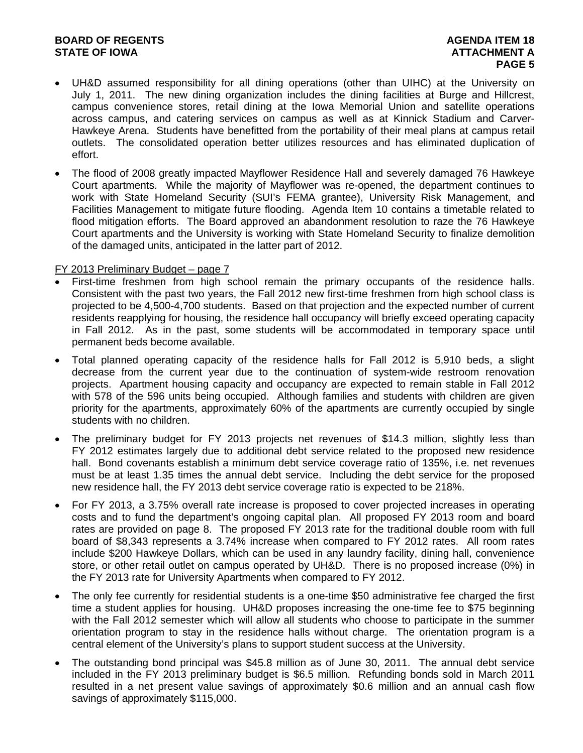# **BOARD OF REGENTS** AGENDA ITEM 18 **STATE OF IOWA AND RESERVE A LOCAL CONSUMING A LOCAL CONSUMING A LOCAL CONSUMING A LOCAL CONSUMING A LOCAL CONSUMING A LOCAL CONSUMING A LOCAL CONSUMING A LOCAL CONSUMING A LOCAL CONSUMING A LOCAL CONSUMING A LOCAL CONSUMI**

- UH&D assumed responsibility for all dining operations (other than UIHC) at the University on July 1, 2011. The new dining organization includes the dining facilities at Burge and Hillcrest, campus convenience stores, retail dining at the Iowa Memorial Union and satellite operations across campus, and catering services on campus as well as at Kinnick Stadium and Carver-Hawkeye Arena. Students have benefitted from the portability of their meal plans at campus retail outlets. The consolidated operation better utilizes resources and has eliminated duplication of effort.
- The flood of 2008 greatly impacted Mayflower Residence Hall and severely damaged 76 Hawkeye Court apartments. While the majority of Mayflower was re-opened, the department continues to work with State Homeland Security (SUI's FEMA grantee), University Risk Management, and Facilities Management to mitigate future flooding. Agenda Item 10 contains a timetable related to flood mitigation efforts. The Board approved an abandonment resolution to raze the 76 Hawkeye Court apartments and the University is working with State Homeland Security to finalize demolition of the damaged units, anticipated in the latter part of 2012.

## FY 2013 Preliminary Budget – page 7

- First-time freshmen from high school remain the primary occupants of the residence halls. Consistent with the past two years, the Fall 2012 new first-time freshmen from high school class is projected to be 4,500-4,700 students. Based on that projection and the expected number of current residents reapplying for housing, the residence hall occupancy will briefly exceed operating capacity in Fall 2012. As in the past, some students will be accommodated in temporary space until permanent beds become available.
- Total planned operating capacity of the residence halls for Fall 2012 is 5,910 beds, a slight decrease from the current year due to the continuation of system-wide restroom renovation projects. Apartment housing capacity and occupancy are expected to remain stable in Fall 2012 with 578 of the 596 units being occupied. Although families and students with children are given priority for the apartments, approximately 60% of the apartments are currently occupied by single students with no children.
- The preliminary budget for FY 2013 projects net revenues of \$14.3 million, slightly less than FY 2012 estimates largely due to additional debt service related to the proposed new residence hall. Bond covenants establish a minimum debt service coverage ratio of 135%, i.e. net revenues must be at least 1.35 times the annual debt service. Including the debt service for the proposed new residence hall, the FY 2013 debt service coverage ratio is expected to be 218%.
- For FY 2013, a 3.75% overall rate increase is proposed to cover projected increases in operating costs and to fund the department's ongoing capital plan. All proposed FY 2013 room and board rates are provided on page 8. The proposed FY 2013 rate for the traditional double room with full board of \$8,343 represents a 3.74% increase when compared to FY 2012 rates. All room rates include \$200 Hawkeye Dollars, which can be used in any laundry facility, dining hall, convenience store, or other retail outlet on campus operated by UH&D. There is no proposed increase (0%) in the FY 2013 rate for University Apartments when compared to FY 2012.
- The only fee currently for residential students is a one-time \$50 administrative fee charged the first time a student applies for housing. UH&D proposes increasing the one-time fee to \$75 beginning with the Fall 2012 semester which will allow all students who choose to participate in the summer orientation program to stay in the residence halls without charge. The orientation program is a central element of the University's plans to support student success at the University.
- The outstanding bond principal was \$45.8 million as of June 30, 2011. The annual debt service included in the FY 2013 preliminary budget is \$6.5 million. Refunding bonds sold in March 2011 resulted in a net present value savings of approximately \$0.6 million and an annual cash flow savings of approximately \$115,000.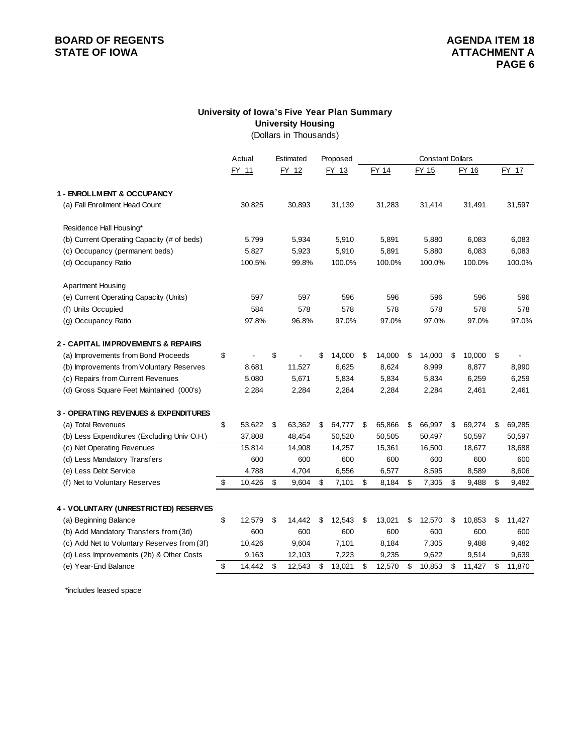# **BOARD OF REGENTS**<br> **BOARD OF REGENTS**<br> **STATE OF IOWA**<br> **ATTACHMENT A**

# **University of Iowa's Five Year Plan Summary University Housing**

(Dollars in Thousands)

|                                             | Actual       | Estimated    | Proposed     |              | <b>Constant Dollars</b> |        |    |        |    |        |
|---------------------------------------------|--------------|--------------|--------------|--------------|-------------------------|--------|----|--------|----|--------|
|                                             | FY 11        | FY 12        | FY 13        | FY 14        |                         | FY 15  |    | FY 16  |    | FY 17  |
| 1 - ENROLLMENT & OCCUPANCY                  |              |              |              |              |                         |        |    |        |    |        |
| (a) Fall Enrollment Head Count              | 30,825       | 30,893       | 31,139       | 31,283       |                         | 31,414 |    | 31,491 |    | 31,597 |
| Residence Hall Housing*                     |              |              |              |              |                         |        |    |        |    |        |
| (b) Current Operating Capacity (# of beds)  | 5,799        | 5,934        | 5,910        | 5,891        |                         | 5,880  |    | 6,083  |    | 6,083  |
| (c) Occupancy (permanent beds)              | 5,827        | 5,923        | 5,910        | 5,891        |                         | 5,880  |    | 6,083  |    | 6,083  |
| (d) Occupancy Ratio                         | 100.5%       | 99.8%        | 100.0%       | 100.0%       |                         | 100.0% |    | 100.0% |    | 100.0% |
| <b>Apartment Housing</b>                    |              |              |              |              |                         |        |    |        |    |        |
| (e) Current Operating Capacity (Units)      | 597          | 597          | 596          | 596          |                         | 596    |    | 596    |    | 596    |
| (f) Units Occupied                          | 584          | 578          | 578          | 578          |                         | 578    |    | 578    |    | 578    |
| (g) Occupancy Ratio                         | 97.8%        | 96.8%        | 97.0%        | 97.0%        |                         | 97.0%  |    | 97.0%  |    | 97.0%  |
| 2 - CAPITAL IMPROVEMENTS & REPAIRS          |              |              |              |              |                         |        |    |        |    |        |
| (a) Improvements from Bond Proceeds         | \$           | \$           | \$<br>14,000 | \$<br>14,000 | \$                      | 14,000 | \$ | 10,000 | \$ |        |
| (b) Improvements from Voluntary Reserves    | 8,681        | 11,527       | 6,625        | 8,624        |                         | 8,999  |    | 8,877  |    | 8,990  |
| (c) Repairs from Current Revenues           | 5,080        | 5,671        | 5,834        | 5,834        |                         | 5,834  |    | 6,259  |    | 6,259  |
| (d) Gross Square Feet Maintained (000's)    | 2,284        | 2,284        | 2,284        | 2,284        |                         | 2,284  |    | 2,461  |    | 2,461  |
| 3 - OPERATING REVENUES & EXPENDITURES       |              |              |              |              |                         |        |    |        |    |        |
| (a) Total Revenues                          | \$<br>53,622 | \$<br>63,362 | \$<br>64,777 | \$<br>65,866 | \$                      | 66,997 | \$ | 69,274 | \$ | 69,285 |
| (b) Less Expenditures (Excluding Univ O.H.) | 37,808       | 48,454       | 50,520       | 50,505       |                         | 50,497 |    | 50,597 |    | 50,597 |
| (c) Net Operating Revenues                  | 15,814       | 14,908       | 14,257       | 15,361       |                         | 16,500 |    | 18,677 |    | 18,688 |
| (d) Less Mandatory Transfers                | 600          | 600          | 600          | 600          |                         | 600    |    | 600    |    | 600    |
| (e) Less Debt Service                       | 4,788        | 4,704        | 6,556        | 6,577        |                         | 8,595  |    | 8,589  |    | 8,606  |
| (f) Net to Voluntary Reserves               | \$<br>10,426 | \$<br>9,604  | \$<br>7,101  | \$<br>8,184  | \$                      | 7,305  | \$ | 9,488  | \$ | 9,482  |
| 4 - VOLUNTARY (UNRESTRICTED) RESERVES       |              |              |              |              |                         |        |    |        |    |        |
| (a) Beginning Balance                       | \$<br>12,579 | \$<br>14,442 | \$<br>12,543 | \$<br>13,021 | \$                      | 12,570 | \$ | 10,853 | \$ | 11,427 |
| (b) Add Mandatory Transfers from (3d)       | 600          | 600          | 600          | 600          |                         | 600    |    | 600    |    | 600    |
| (c) Add Net to Voluntary Reserves from (3f) | 10,426       | 9,604        | 7,101        | 8,184        |                         | 7,305  |    | 9,488  |    | 9,482  |
| (d) Less Improvements (2b) & Other Costs    | 9,163        | 12,103       | 7,223        | 9,235        |                         | 9,622  |    | 9,514  |    | 9,639  |
| (e) Year-End Balance                        | \$<br>14,442 | \$<br>12,543 | \$<br>13,021 | \$<br>12,570 | \$                      | 10,853 | \$ | 11,427 | \$ | 11,870 |
|                                             |              |              |              |              |                         |        |    |        |    |        |

\*includes leased space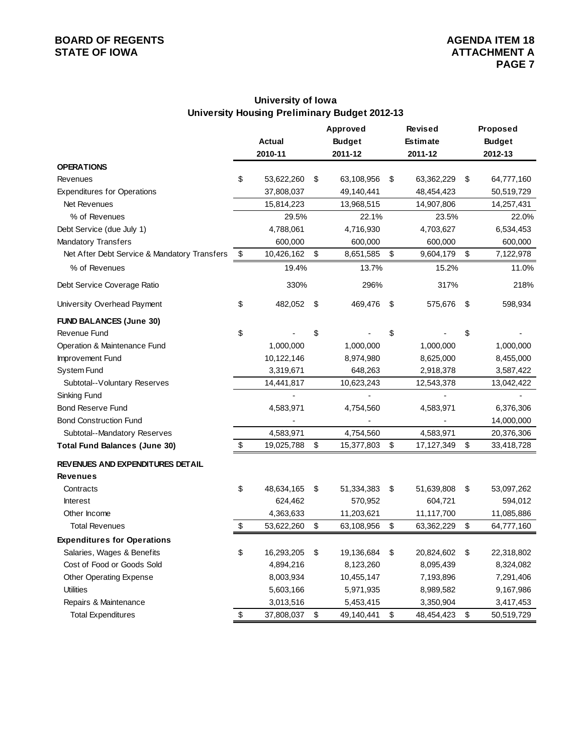# **BOARD OF REGENTS**<br> **BOARD OF REGENTS**<br> **STATE OF IOWA**<br> **ATTACHMENT A**

# **University of Iowa University Housing Preliminary Budget 2012-13**

|                                              |                  | Approved         | Revised          | Proposed         |
|----------------------------------------------|------------------|------------------|------------------|------------------|
|                                              | Actual           | <b>Budget</b>    | <b>Estimate</b>  | <b>Budget</b>    |
|                                              | 2010-11          | 2011-12          | 2011-12          | 2012-13          |
| <b>OPERATIONS</b>                            |                  |                  |                  |                  |
| Revenues                                     | \$<br>53,622,260 | \$<br>63,108,956 | \$<br>63,362,229 | \$<br>64,777,160 |
| <b>Expenditures for Operations</b>           | 37,808,037       | 49,140,441       | 48,454,423       | 50,519,729       |
| Net Revenues                                 | 15,814,223       | 13,968,515       | 14,907,806       | 14,257,431       |
| % of Revenues                                | 29.5%            | 22.1%            | 23.5%            | 22.0%            |
| Debt Service (due July 1)                    | 4,788,061        | 4,716,930        | 4,703,627        | 6,534,453        |
| <b>Mandatory Transfers</b>                   | 600,000          | 600,000          | 600,000          | 600,000          |
| Net After Debt Service & Mandatory Transfers | \$<br>10,426,162 | \$<br>8,651,585  | \$<br>9,604,179  | \$<br>7,122,978  |
| % of Revenues                                | 19.4%            | 13.7%            | 15.2%            | 11.0%            |
| Debt Service Coverage Ratio                  | 330%             | 296%             | 317%             | 218%             |
| University Overhead Payment                  | \$<br>482,052    | \$<br>469,476    | \$<br>575,676    | \$<br>598,934    |
| <b>FUND BALANCES (June 30)</b>               |                  |                  |                  |                  |
| Revenue Fund                                 | \$               | \$               | \$               | \$               |
| Operation & Maintenance Fund                 | 1,000,000        | 1,000,000        | 1,000,000        | 1,000,000        |
| Improvement Fund                             | 10,122,146       | 8,974,980        | 8,625,000        | 8,455,000        |
| <b>System Fund</b>                           | 3,319,671        | 648,263          | 2,918,378        | 3,587,422        |
| Subtotal--Voluntary Reserves                 | 14,441,817       | 10,623,243       | 12,543,378       | 13,042,422       |
| Sinking Fund                                 |                  |                  |                  |                  |
| <b>Bond Reserve Fund</b>                     | 4,583,971        | 4,754,560        | 4,583,971        | 6,376,306        |
| <b>Bond Construction Fund</b>                |                  |                  |                  | 14,000,000       |
| Subtotal--Mandatory Reserves                 | 4,583,971        | 4,754,560        | 4,583,971        | 20,376,306       |
| <b>Total Fund Balances (June 30)</b>         | \$<br>19,025,788 | \$<br>15,377,803 | \$<br>17,127,349 | \$<br>33,418,728 |
| REVENUES AND EXPENDITURES DETAIL             |                  |                  |                  |                  |
| <b>Revenues</b>                              |                  |                  |                  |                  |
| Contracts                                    | \$<br>48,634,165 | \$<br>51,334,383 | \$<br>51,639,808 | \$<br>53,097,262 |
| <b>Interest</b>                              | 624,462          | 570,952          | 604,721          | 594,012          |
| Other Income                                 | 4,363,633        | 11,203,621       | 11,117,700       | 11,085,886       |
| <b>Total Revenues</b>                        | \$<br>53,622,260 | \$<br>63,108,956 | \$<br>63,362,229 | \$<br>64,777,160 |
| <b>Expenditures for Operations</b>           |                  |                  |                  |                  |
| Salaries, Wages & Benefits                   | \$<br>16,293,205 | \$<br>19,136,684 | \$<br>20,824,602 | \$<br>22,318,802 |
| Cost of Food or Goods Sold                   | 4,894,216        | 8,123,260        | 8,095,439        | 8,324,082        |
| Other Operating Expense                      | 8,003,934        | 10,455,147       | 7,193,896        | 7,291,406        |
| <b>Utilities</b>                             | 5,603,166        | 5,971,935        | 8,989,582        | 9,167,986        |
| Repairs & Maintenance                        | 3,013,516        | 5,453,415        | 3,350,904        | 3,417,453        |
| <b>Total Expenditures</b>                    | \$<br>37,808,037 | \$<br>49,140,441 | \$<br>48,454,423 | \$<br>50,519,729 |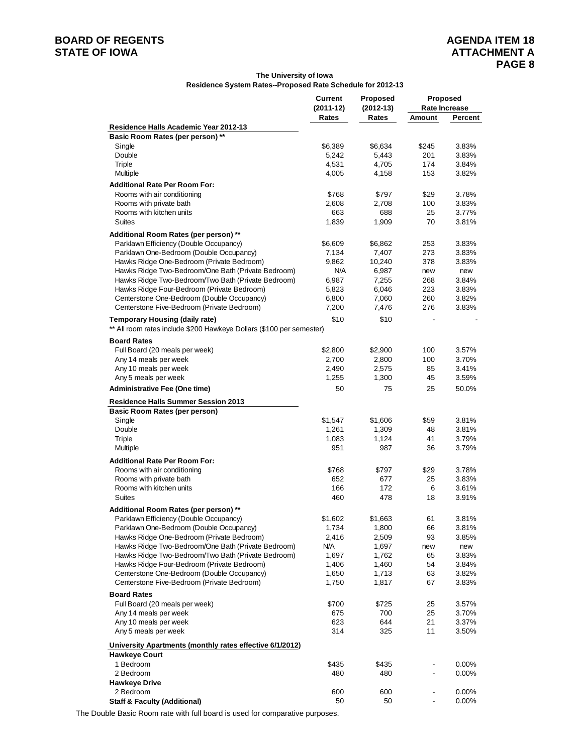# **BOARD OF REGENTS AGENERY AGENERY AGENERY AGENERY AGENERY AGENERY AGENERY AGENERY ATTACHMENT A**

### **The University of Iowa Residence System Rates--Proposed Rate Schedule for 2012-13**

|                                                                                                          | <b>Current</b> | <b>Proposed</b> | Proposed                     |                      |
|----------------------------------------------------------------------------------------------------------|----------------|-----------------|------------------------------|----------------------|
|                                                                                                          | $(2011-12)$    | $(2012-13)$     |                              | Rate Increase        |
|                                                                                                          | Rates          | Rates           | Amount                       | Percent              |
| Residence Halls Academic Year 2012-13                                                                    |                |                 |                              |                      |
| Basic Room Rates (per person) **<br>Single                                                               | \$6,389        | \$6,634         | \$245                        | 3.83%                |
| Double                                                                                                   | 5.242          | 5,443           | 201                          | 3.83%                |
| Triple                                                                                                   | 4,531          | 4,705           | 174                          | 3.84%                |
| Multiple                                                                                                 | 4,005          | 4,158           | 153                          | 3.82%                |
| <b>Additional Rate Per Room For:</b>                                                                     |                |                 |                              |                      |
| Rooms with air conditioning                                                                              | \$768          | \$797           | \$29                         | 3.78%                |
| Rooms with private bath                                                                                  | 2,608          | 2,708           | 100                          | 3.83%                |
| Rooms with kitchen units                                                                                 | 663            | 688             | 25                           | 3.77%                |
| <b>Suites</b>                                                                                            | 1,839          | 1,909           | 70                           | 3.81%                |
| Additional Room Rates (per person) **                                                                    |                |                 |                              |                      |
| Parklawn Efficiency (Double Occupancy)                                                                   | \$6,609        | \$6,862         | 253                          | 3.83%                |
| Parklawn One-Bedroom (Double Occupancy)                                                                  | 7,134          | 7,407           | 273                          | 3.83%                |
| Hawks Ridge One-Bedroom (Private Bedroom)                                                                | 9,862          | 10,240          | 378                          | 3.83%                |
| Hawks Ridge Two-Bedroom/One Bath (Private Bedroom)                                                       | N/A            | 6,987           | new                          | new                  |
| Hawks Ridge Two-Bedroom/Two Bath (Private Bedroom)                                                       | 6,987          | 7,255           | 268                          | 3.84%                |
| Hawks Ridge Four-Bedroom (Private Bedroom)                                                               | 5,823          | 6,046           | 223                          | 3.83%                |
| Centerstone One-Bedroom (Double Occupancy)                                                               | 6,800          | 7,060           | 260                          | 3.82%                |
| Centerstone Five-Bedroom (Private Bedroom)                                                               | 7,200          | 7,476           | 276                          | 3.83%                |
| <b>Temporary Housing (daily rate)</b>                                                                    | \$10           | \$10            |                              |                      |
| ** All room rates include \$200 Hawkeye Dollars (\$100 per semester)                                     |                |                 |                              |                      |
| <b>Board Rates</b>                                                                                       |                |                 |                              |                      |
| Full Board (20 meals per week)                                                                           | \$2,800        | \$2,900         | 100                          | 3.57%                |
| Any 14 meals per week                                                                                    | 2,700          | 2,800           | 100                          | 3.70%                |
| Any 10 meals per week                                                                                    | 2,490          | 2,575           | 85                           | 3.41%                |
| Any 5 meals per week                                                                                     | 1,255          | 1,300           | 45                           | 3.59%                |
| <b>Administrative Fee (One time)</b>                                                                     | 50             | 75              | 25                           | 50.0%                |
| <b>Residence Halls Summer Session 2013</b>                                                               |                |                 |                              |                      |
| <b>Basic Room Rates (per person)</b>                                                                     |                |                 |                              |                      |
| Single                                                                                                   | \$1,547        | \$1,606         | \$59                         | 3.81%                |
| Double                                                                                                   | 1,261          | 1,309           | 48                           | 3.81%                |
| Triple                                                                                                   | 1,083          | 1,124           | 41                           | 3.79%                |
| Multiple                                                                                                 | 951            | 987             | 36                           | 3.79%                |
| <b>Additional Rate Per Room For:</b>                                                                     |                |                 |                              |                      |
| Rooms with air conditioning                                                                              | \$768          | \$797           | \$29                         | 3.78%                |
| Rooms with private bath                                                                                  | 652            | 677             | 25                           | 3.83%                |
| Rooms with kitchen units                                                                                 | 166            | 172             | 6                            | 3.61%                |
| <b>Suites</b>                                                                                            | 460            | 478             | 18                           | 3.91%                |
| Additional Room Rates (per person) **                                                                    |                |                 |                              |                      |
| Parklawn Efficiency (Double Occupancy)                                                                   | \$1,602        | \$1,663         | 61                           | 3.81%                |
| Parklawn One-Bedroom (Double Occupancy)                                                                  | 1,734          | 1,800           | 66                           | 3.81%                |
| Hawks Ridge One-Bedroom (Private Bedroom)                                                                | 2,416          | 2,509           | 93                           | 3.85%                |
| Hawks Ridge Two-Bedroom/One Bath (Private Bedroom)<br>Hawks Ridge Two-Bedroom/Two Bath (Private Bedroom) | N/A            | 1,697           | new                          | new                  |
| Hawks Ridge Four-Bedroom (Private Bedroom)                                                               | 1,697<br>1,406 | 1,762<br>1,460  | 65<br>54                     | 3.83%<br>3.84%       |
| Centerstone One-Bedroom (Double Occupancy)                                                               | 1,650          | 1,713           | 63                           | 3.82%                |
| Centerstone Five-Bedroom (Private Bedroom)                                                               | 1,750          | 1,817           | 67                           | 3.83%                |
| <b>Board Rates</b>                                                                                       |                |                 |                              |                      |
| Full Board (20 meals per week)                                                                           | \$700          | \$725           | 25                           | 3.57%                |
| Any 14 meals per week                                                                                    | 675            | 700             | 25                           | 3.70%                |
| Any 10 meals per week                                                                                    | 623            | 644             | 21                           | 3.37%                |
| Any 5 meals per week                                                                                     | 314            | 325             | 11                           | 3.50%                |
| University Apartments (monthly rates effective 6/1/2012)                                                 |                |                 |                              |                      |
| <b>Hawkeye Court</b>                                                                                     |                |                 |                              |                      |
| 1 Bedroom                                                                                                | \$435          | \$435           |                              | $0.00\%$             |
| 2 Bedroom                                                                                                | 480            | 480             |                              | $0.00\%$             |
| <b>Hawkeye Drive</b>                                                                                     |                |                 |                              |                      |
| 2 Bedroom<br><b>Staff &amp; Faculty (Additional)</b>                                                     | 600<br>50      | 600<br>50       | $\qquad \qquad \blacksquare$ | $0.00\%$<br>$0.00\%$ |
|                                                                                                          |                |                 |                              |                      |

The Double Basic Room rate with full board is used for comparative purposes.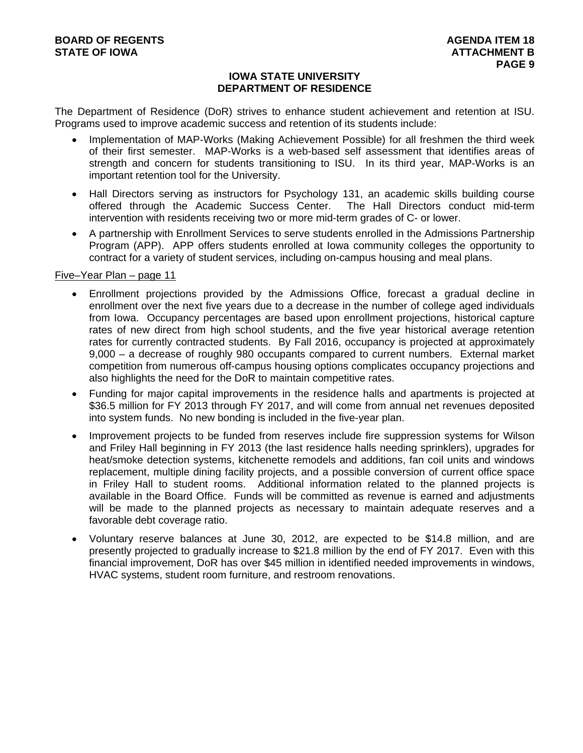## **IOWA STATE UNIVERSITY DEPARTMENT OF RESIDENCE**

The Department of Residence (DoR) strives to enhance student achievement and retention at ISU. Programs used to improve academic success and retention of its students include:

- Implementation of MAP-Works (Making Achievement Possible) for all freshmen the third week of their first semester. MAP-Works is a web-based self assessment that identifies areas of strength and concern for students transitioning to ISU. In its third year, MAP-Works is an important retention tool for the University.
- Hall Directors serving as instructors for Psychology 131, an academic skills building course offered through the Academic Success Center. The Hall Directors conduct mid-term intervention with residents receiving two or more mid-term grades of C- or lower.
- A partnership with Enrollment Services to serve students enrolled in the Admissions Partnership Program (APP). APP offers students enrolled at Iowa community colleges the opportunity to contract for a variety of student services, including on-campus housing and meal plans.

## Five–Year Plan – page 11

- Enrollment projections provided by the Admissions Office, forecast a gradual decline in enrollment over the next five years due to a decrease in the number of college aged individuals from Iowa. Occupancy percentages are based upon enrollment projections, historical capture rates of new direct from high school students, and the five year historical average retention rates for currently contracted students. By Fall 2016, occupancy is projected at approximately 9,000 – a decrease of roughly 980 occupants compared to current numbers. External market competition from numerous off-campus housing options complicates occupancy projections and also highlights the need for the DoR to maintain competitive rates.
- Funding for major capital improvements in the residence halls and apartments is projected at \$36.5 million for FY 2013 through FY 2017, and will come from annual net revenues deposited into system funds. No new bonding is included in the five-year plan.
- Improvement projects to be funded from reserves include fire suppression systems for Wilson and Friley Hall beginning in FY 2013 (the last residence halls needing sprinklers), upgrades for heat/smoke detection systems, kitchenette remodels and additions, fan coil units and windows replacement, multiple dining facility projects, and a possible conversion of current office space in Friley Hall to student rooms. Additional information related to the planned projects is available in the Board Office. Funds will be committed as revenue is earned and adjustments will be made to the planned projects as necessary to maintain adequate reserves and a favorable debt coverage ratio.
- Voluntary reserve balances at June 30, 2012, are expected to be \$14.8 million, and are presently projected to gradually increase to \$21.8 million by the end of FY 2017. Even with this financial improvement, DoR has over \$45 million in identified needed improvements in windows, HVAC systems, student room furniture, and restroom renovations.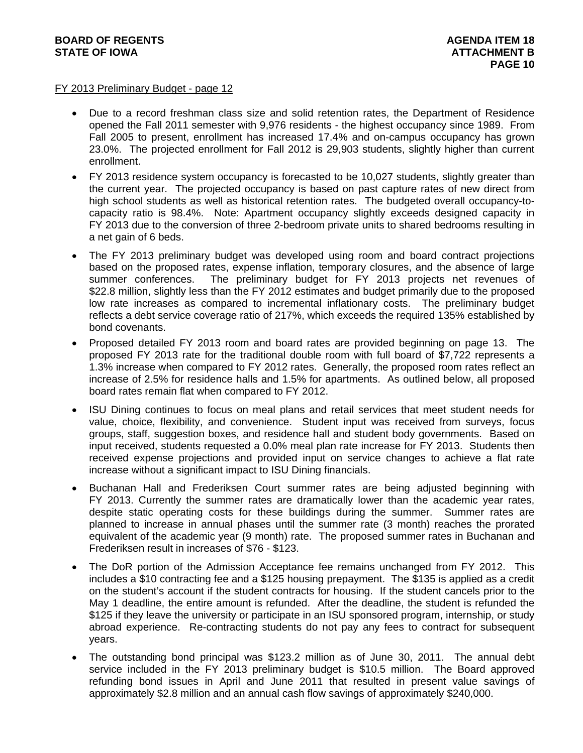# **BOARD OF REGENTS** AGENDA ITEM 18 STATE OF IOWA **ATTACHMENT B**

## FY 2013 Preliminary Budget - page 12

- Due to a record freshman class size and solid retention rates, the Department of Residence opened the Fall 2011 semester with 9,976 residents - the highest occupancy since 1989. From Fall 2005 to present, enrollment has increased 17.4% and on-campus occupancy has grown 23.0%. The projected enrollment for Fall 2012 is 29,903 students, slightly higher than current enrollment.
- FY 2013 residence system occupancy is forecasted to be 10,027 students, slightly greater than the current year. The projected occupancy is based on past capture rates of new direct from high school students as well as historical retention rates. The budgeted overall occupancy-tocapacity ratio is 98.4%. Note: Apartment occupancy slightly exceeds designed capacity in FY 2013 due to the conversion of three 2-bedroom private units to shared bedrooms resulting in a net gain of 6 beds.
- The FY 2013 preliminary budget was developed using room and board contract projections based on the proposed rates, expense inflation, temporary closures, and the absence of large summer conferences. The preliminary budget for FY 2013 projects net revenues of \$22.8 million, slightly less than the FY 2012 estimates and budget primarily due to the proposed low rate increases as compared to incremental inflationary costs. The preliminary budget reflects a debt service coverage ratio of 217%, which exceeds the required 135% established by bond covenants.
- Proposed detailed FY 2013 room and board rates are provided beginning on page 13. The proposed FY 2013 rate for the traditional double room with full board of \$7,722 represents a 1.3% increase when compared to FY 2012 rates. Generally, the proposed room rates reflect an increase of 2.5% for residence halls and 1.5% for apartments. As outlined below, all proposed board rates remain flat when compared to FY 2012.
- ISU Dining continues to focus on meal plans and retail services that meet student needs for value, choice, flexibility, and convenience. Student input was received from surveys, focus groups, staff, suggestion boxes, and residence hall and student body governments. Based on input received, students requested a 0.0% meal plan rate increase for FY 2013. Students then received expense projections and provided input on service changes to achieve a flat rate increase without a significant impact to ISU Dining financials.
- Buchanan Hall and Frederiksen Court summer rates are being adjusted beginning with FY 2013. Currently the summer rates are dramatically lower than the academic year rates, despite static operating costs for these buildings during the summer. Summer rates are planned to increase in annual phases until the summer rate (3 month) reaches the prorated equivalent of the academic year (9 month) rate. The proposed summer rates in Buchanan and Frederiksen result in increases of \$76 - \$123.
- The DoR portion of the Admission Acceptance fee remains unchanged from FY 2012. This includes a \$10 contracting fee and a \$125 housing prepayment. The \$135 is applied as a credit on the student's account if the student contracts for housing. If the student cancels prior to the May 1 deadline, the entire amount is refunded. After the deadline, the student is refunded the \$125 if they leave the university or participate in an ISU sponsored program, internship, or study abroad experience. Re-contracting students do not pay any fees to contract for subsequent years.
- The outstanding bond principal was \$123.2 million as of June 30, 2011. The annual debt service included in the FY 2013 preliminary budget is \$10.5 million. The Board approved refunding bond issues in April and June 2011 that resulted in present value savings of approximately \$2.8 million and an annual cash flow savings of approximately \$240,000.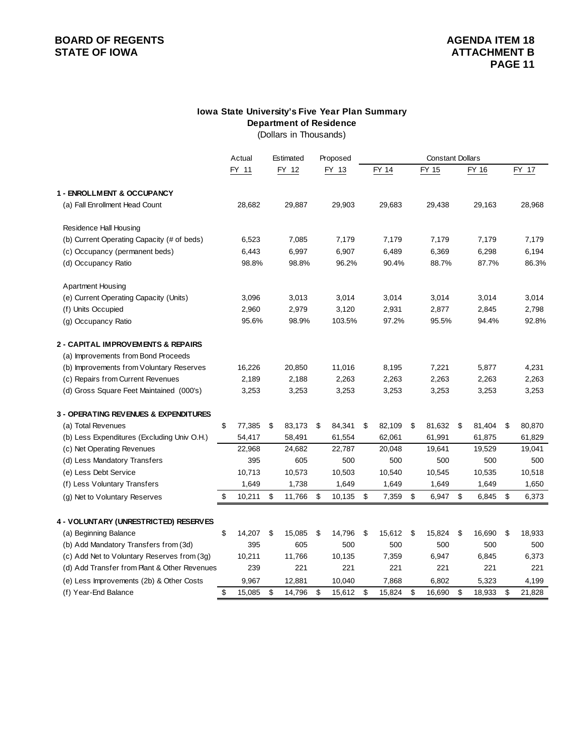# **BOARD OF REGENTS**<br> **BOARD OF REGENTS**<br> **BOARD OF IOWA**<br> **ATTACHMENT B**

# **Department of Residence Iowa State University's Five Year Plan Summary**

(Dollars in Thousands)

|                                              | Actual       | Estimated    | Proposed     |              | <b>Constant Dollars</b> |              |              |
|----------------------------------------------|--------------|--------------|--------------|--------------|-------------------------|--------------|--------------|
|                                              | FY 11        | FY 12        | FY 13        | FY 14        | FY 15                   | FY 16        | FY 17        |
| 1 - ENROLLMENT & OCCUPANCY                   |              |              |              |              |                         |              |              |
| (a) Fall Enrollment Head Count               | 28,682       | 29,887       | 29,903       | 29,683       | 29,438                  | 29,163       | 28,968       |
| Residence Hall Housing                       |              |              |              |              |                         |              |              |
| (b) Current Operating Capacity (# of beds)   | 6,523        | 7,085        | 7,179        | 7,179        | 7,179                   | 7,179        | 7,179        |
| (c) Occupancy (permanent beds)               | 6,443        | 6,997        | 6,907        | 6,489        | 6,369                   | 6,298        | 6,194        |
| (d) Occupancy Ratio                          | 98.8%        | 98.8%        | 96.2%        | 90.4%        | 88.7%                   | 87.7%        | 86.3%        |
| Apartment Housing                            |              |              |              |              |                         |              |              |
| (e) Current Operating Capacity (Units)       | 3,096        | 3,013        | 3,014        | 3,014        | 3,014                   | 3,014        | 3,014        |
| (f) Units Occupied                           | 2,960        | 2,979        | 3,120        | 2,931        | 2,877                   | 2,845        | 2,798        |
| (g) Occupancy Ratio                          | 95.6%        | 98.9%        | 103.5%       | 97.2%        | 95.5%                   | 94.4%        | 92.8%        |
| 2 - CAPITAL IMPROVEMENTS & REPAIRS           |              |              |              |              |                         |              |              |
| (a) Improvements from Bond Proceeds          |              |              |              |              |                         |              |              |
| (b) Improvements from Voluntary Reserves     | 16,226       | 20,850       | 11,016       | 8,195        | 7,221                   | 5,877        | 4,231        |
| (c) Repairs from Current Revenues            | 2,189        | 2,188        | 2,263        | 2,263        | 2,263                   | 2,263        | 2,263        |
| (d) Gross Square Feet Maintained (000's)     | 3,253        | 3,253        | 3,253        | 3,253        | 3,253                   | 3,253        | 3,253        |
| 3 - OPERATING REVENUES & EXPENDITURES        |              |              |              |              |                         |              |              |
| (a) Total Revenues                           | \$<br>77,385 | \$<br>83,173 | \$<br>84,341 | \$<br>82,109 | \$<br>81,632            | \$<br>81,404 | \$<br>80,870 |
| (b) Less Expenditures (Excluding Univ O.H.)  | 54,417       | 58,491       | 61,554       | 62,061       | 61,991                  | 61,875       | 61,829       |
| (c) Net Operating Revenues                   | 22,968       | 24,682       | 22,787       | 20,048       | 19,641                  | 19,529       | 19,041       |
| (d) Less Mandatory Transfers                 | 395          | 605          | 500          | 500          | 500                     | 500          | 500          |
| (e) Less Debt Service                        | 10,713       | 10,573       | 10,503       | 10,540       | 10,545                  | 10,535       | 10,518       |
| (f) Less Voluntary Transfers                 | 1,649        | 1,738        | 1,649        | 1,649        | 1,649                   | 1,649        | 1,650        |
| (g) Net to Voluntary Reserves                | \$<br>10,211 | \$<br>11,766 | \$<br>10,135 | \$<br>7,359  | \$<br>6,947             | \$<br>6,845  | \$<br>6,373  |
| 4 - VOLUNTARY (UNRESTRICTED) RESERVES        |              |              |              |              |                         |              |              |
| (a) Beginning Balance                        | \$<br>14,207 | \$<br>15,085 | \$<br>14,796 | \$<br>15,612 | \$<br>15,824            | \$<br>16,690 | \$<br>18,933 |
| (b) Add Mandatory Transfers from (3d)        | 395          | 605          | 500          | 500          | 500                     | 500          | 500          |
| (c) Add Net to Voluntary Reserves from (3g)  | 10,211       | 11,766       | 10,135       | 7,359        | 6,947                   | 6,845        | 6,373        |
| (d) Add Transfer from Plant & Other Revenues | 239          | 221          | 221          | 221          | 221                     | 221          | 221          |
| (e) Less Improvements (2b) & Other Costs     | 9,967        | 12,881       | 10,040       | 7,868        | 6,802                   | 5,323        | 4,199        |
| (f) Year-End Balance                         | \$<br>15,085 | \$<br>14,796 | \$<br>15,612 | \$<br>15,824 | \$<br>16,690            | \$<br>18,933 | \$<br>21,828 |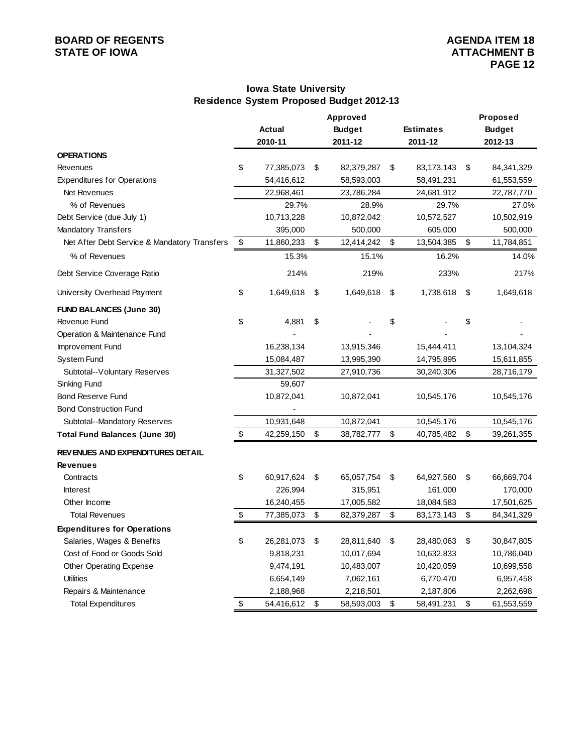# **BOARD OF REGENTS**<br> **BOARD OF REGENTS**<br> **BOARD OF IOWA**<br> **BOARD OF IOWA**<br> **ATTACHMENT B**

# **Iowa State University Residence System Proposed Budget 2012-13**

|                                              |                  | Approved         |                  | Proposed           |
|----------------------------------------------|------------------|------------------|------------------|--------------------|
|                                              | Actual           | <b>Budget</b>    | <b>Estimates</b> | <b>Budget</b>      |
|                                              | 2010-11          | 2011-12          | 2011-12          | 2012-13            |
| <b>OPERATIONS</b>                            |                  |                  |                  |                    |
| Revenues                                     | \$<br>77,385,073 | \$<br>82,379,287 | \$<br>83,173,143 | \$<br>84, 341, 329 |
| <b>Expenditures for Operations</b>           | 54,416,612       | 58,593,003       | 58,491,231       | 61,553,559         |
| Net Revenues                                 | 22,968,461       | 23,786,284       | 24,681,912       | 22,787,770         |
| % of Revenues                                | 29.7%            | 28.9%            | 29.7%            | 27.0%              |
| Debt Service (due July 1)                    | 10,713,228       | 10,872,042       | 10,572,527       | 10,502,919         |
| <b>Mandatory Transfers</b>                   | 395,000          | 500,000          | 605,000          | 500,000            |
| Net After Debt Service & Mandatory Transfers | \$<br>11,860,233 | \$<br>12,414,242 | \$<br>13,504,385 | \$<br>11,784,851   |
| % of Revenues                                | 15.3%            | 15.1%            | 16.2%            | 14.0%              |
| Debt Service Coverage Ratio                  | 214%             | 219%             | 233%             | 217%               |
| University Overhead Payment                  | \$<br>1,649,618  | \$<br>1,649,618  | \$<br>1,738,618  | \$<br>1,649,618    |
| <b>FUND BALANCES (June 30)</b>               |                  |                  |                  |                    |
| Revenue Fund                                 | \$<br>4,881      | \$               | \$               | \$                 |
| Operation & Maintenance Fund                 |                  |                  |                  |                    |
| Improvement Fund                             | 16,238,134       | 13,915,346       | 15,444,411       | 13,104,324         |
| <b>System Fund</b>                           | 15,084,487       | 13,995,390       | 14,795,895       | 15,611,855         |
| Subtotal--Voluntary Reserves                 | 31,327,502       | 27,910,736       | 30,240,306       | 28,716,179         |
| Sinking Fund                                 | 59,607           |                  |                  |                    |
| <b>Bond Reserve Fund</b>                     | 10,872,041       | 10,872,041       | 10,545,176       | 10,545,176         |
| <b>Bond Construction Fund</b>                |                  |                  |                  |                    |
| Subtotal--Mandatory Reserves                 | 10,931,648       | 10,872,041       | 10,545,176       | 10,545,176         |
| <b>Total Fund Balances (June 30)</b>         | \$<br>42,259,150 | \$<br>38,782,777 | \$<br>40,785,482 | \$<br>39,261,355   |
| REVENUES AND EXPENDITURES DETAIL             |                  |                  |                  |                    |
| <b>Revenues</b>                              |                  |                  |                  |                    |
| Contracts                                    | \$<br>60,917,624 | \$<br>65,057,754 | \$<br>64,927,560 | \$<br>66,669,704   |
| <b>Interest</b>                              | 226,994          | 315,951          | 161,000          | 170,000            |
| Other Income                                 | 16,240,455       | 17,005,582       | 18,084,583       | 17,501,625         |
| <b>Total Revenues</b>                        | \$<br>77,385,073 | \$<br>82,379,287 | \$<br>83,173,143 | \$<br>84,341,329   |
| <b>Expenditures for Operations</b>           |                  |                  |                  |                    |
| Salaries, Wages & Benefits                   | \$<br>26,281,073 | \$<br>28,811,640 | \$<br>28,480,063 | \$<br>30,847,805   |
| Cost of Food or Goods Sold                   | 9,818,231        | 10,017,694       | 10,632,833       | 10,786,040         |
| Other Operating Expense                      | 9,474,191        | 10,483,007       | 10,420,059       | 10,699,558         |
| <b>Utilities</b>                             | 6,654,149        | 7,062,161        | 6,770,470        | 6,957,458          |
| Repairs & Maintenance                        | 2,188,968        | 2,218,501        | 2,187,806        | 2,262,698          |
| <b>Total Expenditures</b>                    | \$<br>54,416,612 | \$<br>58,593,003 | \$<br>58,491,231 | \$<br>61,553,559   |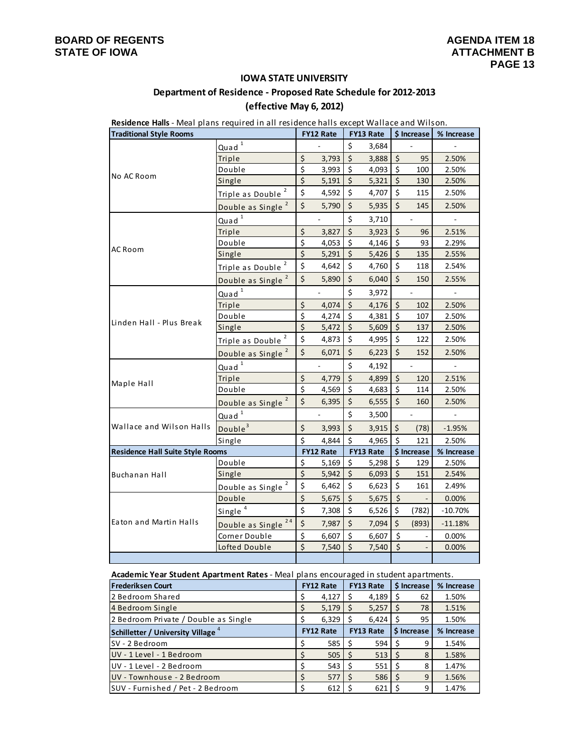### **IOWA STATE UNIVERSITY**

# **Department of Residence ‐ Proposed Rate Schedule for 2012‐2013**

# **(effective May 6, 2012)**

|                                         |                                | Residence Halls - Meal plans required in all residence halls except Wallace and Wilson.<br>FY13 Rate<br>\$ Increase<br><b>FY12 Rate</b> |                |                         |           |                                |                          |            |
|-----------------------------------------|--------------------------------|-----------------------------------------------------------------------------------------------------------------------------------------|----------------|-------------------------|-----------|--------------------------------|--------------------------|------------|
| <b>Traditional Style Rooms</b>          |                                |                                                                                                                                         |                |                         |           |                                |                          | % Increase |
|                                         | Quad <sup>1</sup>              |                                                                                                                                         | $\frac{1}{2}$  | \$                      | 3,684     |                                |                          |            |
|                                         | Triple                         | $\zeta$                                                                                                                                 | 3,793          | $\zeta$                 | 3,888     | $\zeta$                        | 95                       | 2.50%      |
| No AC Room                              | Double                         | $\overline{\xi}$                                                                                                                        | 3,993          | $\zeta$                 | 4,093     | $\zeta$                        | 100                      | 2.50%      |
|                                         | Single                         | $\overline{\xi}$                                                                                                                        | 5,191          | $\zeta$                 | 5,321     | $\zeta$                        | 130                      | 2.50%      |
|                                         | Triple as Double <sup>2</sup>  | \$                                                                                                                                      | 4,592          | \$                      | 4,707     | \$                             | 115                      | 2.50%      |
|                                         | Double as Single               | $\zeta$                                                                                                                                 | 5,790          | $\zeta$                 | 5,935     | $\zeta$                        | 145                      | 2.50%      |
|                                         | Quad <sup>1</sup>              |                                                                                                                                         |                | $\zeta$                 | 3,710     |                                | $\overline{a}$           |            |
|                                         | Triple                         | \$                                                                                                                                      | 3,827          | $\zeta$                 | 3,923     | $\zeta$                        | 96                       | 2.51%      |
|                                         | Double                         | $\overline{\xi}$                                                                                                                        | 4,053          | \$                      | 4,146     | $\zeta$                        | 93                       | 2.29%      |
| AC Room                                 | Single                         | $\zeta$                                                                                                                                 | 5,291          | $\zeta$                 | 5,426     | $\boldsymbol{\dot{\varsigma}}$ | 135                      | 2.55%      |
|                                         | Triple as Double               | \$                                                                                                                                      | 4,642          | \$                      | 4,760     | \$                             | 118                      | 2.54%      |
|                                         | Double as Single <sup>2</sup>  | \$                                                                                                                                      | 5,890          | $\zeta$                 | 6,040     | $\zeta$                        | 150                      | 2.55%      |
|                                         | Quad <sup>1</sup>              |                                                                                                                                         | $\blacksquare$ | $\zeta$                 | 3,972     |                                | $\overline{\phantom{a}}$ |            |
|                                         | Triple                         | \$                                                                                                                                      | 4,074          | \$                      | 4,176     | \$                             | 102                      | 2.50%      |
|                                         | Double                         | $\overline{\xi}$                                                                                                                        | 4,274          | \$                      | 4,381     | \$                             | 107                      | 2.50%      |
| Linden Hall - Plus Break                | Single                         | $\overline{\mathsf{S}}$                                                                                                                 | 5,472          | Ś.                      | 5,609     | $\zeta$                        | 137                      | 2.50%      |
|                                         | Triple as Double <sup>2</sup>  | \$                                                                                                                                      | 4,873          | Ś.                      | 4,995     | \$                             | 122                      | 2.50%      |
|                                         | Double as Single <sup>2</sup>  | \$                                                                                                                                      | 6,071          | \$                      | 6,223     | $\zeta$                        | 152                      | 2.50%      |
|                                         | Quad <sup>1</sup>              |                                                                                                                                         |                | $\zeta$                 | 4,192     |                                |                          |            |
| Maple Hall                              | Triple                         | $\zeta$                                                                                                                                 | 4,779          | $\zeta$                 | 4,899     | $\zeta$                        | 120                      | 2.51%      |
|                                         | Double                         | $\zeta$                                                                                                                                 | 4,569          | $\zeta$                 | 4,683     | \$                             | 114                      | 2.50%      |
|                                         | Double as Single <sup>2</sup>  | $\zeta$                                                                                                                                 | 6,395          | $\zeta$                 | 6,555     | $\zeta$                        | 160                      | 2.50%      |
|                                         | Quad <sup>1</sup>              |                                                                                                                                         |                | $\zeta$                 | 3,500     |                                |                          |            |
| Wallace and Wilson Halls                | Double <sup>3</sup>            | \$                                                                                                                                      | 3,993          | $\zeta$                 | 3,915     | \$                             | (78)                     | $-1.95%$   |
|                                         | Single                         | $\zeta$                                                                                                                                 | 4,844          | \$                      | 4,965     | $\zeta$                        | 121                      | 2.50%      |
| <b>Residence Hall Suite Style Rooms</b> |                                |                                                                                                                                         | FY12 Rate      |                         | FY13 Rate |                                | \$ Increase              | % Increase |
|                                         | Double                         | \$                                                                                                                                      | 5,169          | \$                      | 5,298     | \$                             | 129                      | 2.50%      |
| Buchanan Hall                           | Single                         | $\overline{\xi}$                                                                                                                        | 5,942          | $\overline{\mathsf{S}}$ | 6,093     | $\zeta$                        | 151                      | 2.54%      |
|                                         | Double as Single               | \$                                                                                                                                      | 6,462          | \$                      | 6,623     | \$                             | 161                      | 2.49%      |
|                                         | Double                         | $\overline{\mathsf{S}}$                                                                                                                 | 5,675          | $\zeta$                 | 5,675     | $\zeta$                        |                          | 0.00%      |
|                                         | Single <sup>4</sup>            | \$                                                                                                                                      | 7,308          | $\zeta$                 | 6,526     | \$                             | (782)                    | $-10.70%$  |
| Eaton and Martin Halls                  | Double as Single <sup>24</sup> | $\zeta$                                                                                                                                 | 7,987          | $\zeta$                 | 7,094     | \$                             | (893)                    | $-11.18%$  |
|                                         | Corner Double                  | \$                                                                                                                                      | 6,607          | \$                      | 6,607     | $\zeta$                        |                          | 0.00%      |
|                                         | Lofted Double                  | $\zeta$                                                                                                                                 | 7,540          | Ś.                      | 7,540     | $\zeta$                        |                          | 0.00%      |
|                                         |                                |                                                                                                                                         |                |                         |           |                                |                          |            |

**Academic Year Student Apartment Rates** ‐ Meal plans encouraged in student apartments.

| <b>Frederiksen Court</b>                | <b>FY12 Rate</b> |    | <b>FY13 Rate</b> |   | \$ Increase | % Increase |
|-----------------------------------------|------------------|----|------------------|---|-------------|------------|
| 2 Bedroom Shared                        | 4,127            | -Ś | 4,189            |   | 62          | 1.50%      |
| 4 Bedroom Single                        | 5,179            | S  | 5,257            |   | 78          | 1.51%      |
| 2 Bedroom Private / Double as Single    | 6,329            |    | 6,424            |   | 95          | 1.50%      |
| <b>Schilletter / University Village</b> | <b>FY12 Rate</b> |    | <b>FY13 Rate</b> |   | \$ Increase | % Increase |
| SV - 2 Bedroom                          | 585              |    | 594              | Ś |             | 1.54%      |
| UV - 1 Level - 1 Bedroom                | 505              |    | 513              |   | 8           | 1.58%      |
| UV - 1 Level - 2 Bedroom                | 543              | -S | 551              |   | 8           | 1.47%      |
| UV - Townhouse - 2 Bedroom              | 577              | -S | 586              | S | 9           | 1.56%      |
| SUV - Furnished / Pet - 2 Bedroom       | 612              |    | 621              |   | 9           | 1.47%      |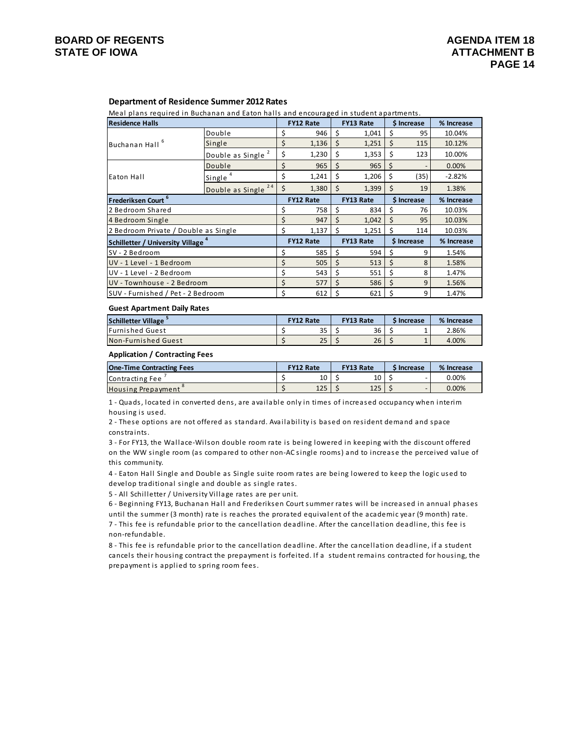### **Department of Residence Summer 2012 Rates**

Meal plans required in Buchanan and Eaton halls and encouraged in student apartments.

| <b>Residence Halls</b>                              |                               |    | <b>FY12 Rate</b> |    | <b>FY13 Rate</b> |     | \$ Increase | % Increase |
|-----------------------------------------------------|-------------------------------|----|------------------|----|------------------|-----|-------------|------------|
|                                                     | Double                        | Ś  | 946              | Ś  | 1,041            | Ś   | 95          | 10.04%     |
| Buchanan Hall <sup>6</sup>                          | Single                        | \$ | 1,136            | Ś  | 1,251            | Ś   | 115         | 10.12%     |
|                                                     | Double as Single <sup>2</sup> | \$ | 1,230            | \$ | 1,353            | \$  | 123         | 10.00%     |
|                                                     | Double                        | \$ | 965              | \$ | 965              | Ŝ.  |             | 0.00%      |
| Eaton Hall                                          | Single <sup>4</sup>           | \$ | 1,241            | \$ | 1,206            | Ś   | (35)        | $-2.82%$   |
|                                                     | 24<br>Double as Single        | \$ | 1,380            | \$ | 1,399            | Ś   | 19          | 1.38%      |
| Frederiksen Court <sup>6</sup>                      |                               |    | <b>FY12 Rate</b> |    | <b>FY13 Rate</b> |     | \$ Increase | % Increase |
| 2 Bedroom Shared                                    |                               | \$ | 758              | \$ | 834              | Ś   | 76          | 10.03%     |
| 4 Bedroom Single                                    |                               | \$ | 947              | Ś  | 1,042            | \$. | 95          | 10.03%     |
| 2 Bedroom Private / Double as Single                |                               | \$ | 1,137            | Ś  | 1,251            | Ŝ   | 114         | 10.03%     |
| <b>Schilletter / University Village<sup>4</sup></b> |                               |    | <b>FY12 Rate</b> |    | <b>FY13 Rate</b> |     | \$ Increase | % Increase |
| SV - 2 Bedroom                                      |                               | \$ | 585              | Ś  | 594              | Ś   | 9           | 1.54%      |
| UV - 1 Level - 1 Bedroom                            |                               | \$ | 505              | \$ | 513              | Ś   | 8           | 1.58%      |
| UV - 1 Level - 2 Bedroom                            |                               | \$ | 543              | Ś  | 551              | Ŝ.  | 8           | 1.47%      |
| UV - Townhouse - 2 Bedroom                          |                               | \$ | 577              | Ś  | 586              | Ś   | 9           | 1.56%      |
| SUV - Furnished / Pet - 2 Bedroom                   |                               | Ś  | 612              | Ś  | 621              | Ś   | 9           | 1.47%      |

#### **Guest Apartment Daily Rates**

| <b>Schilletter Village</b> | <b>FY12 Rate</b> |              | <b>FY13 Rate</b> |    | <b>SIncrease</b> |  | % Increase |  |
|----------------------------|------------------|--------------|------------------|----|------------------|--|------------|--|
| <b>Furnished Guest</b>     |                  | $\sim$<br>35 |                  | 36 |                  |  | 2.86%      |  |
| Non-Furnished Guest        |                  | 25           |                  | 26 |                  |  | 4.00%      |  |

#### **Application / Contracting Fees**

| <b>One-Time Contracting Fees</b> | <b>FY12 Rate</b> |     | <b>FY13 Rate</b> |     | <b>SIncrease</b> |  | % Increase |  |
|----------------------------------|------------------|-----|------------------|-----|------------------|--|------------|--|
| Contracting Fee                  |                  | 10  |                  | 10  |                  |  | $0.00\%$   |  |
| <b>Housing Prepayment</b>        |                  | 125 |                  | 125 |                  |  | 0.00%      |  |

1 - Quads, located in converted dens, are available only in times of increased occupancy when interim housing is used.

2 - These options are not offered as standard. Availability is based on resident demand and space constraints.

3 - For FY13, the Wallace-Wilson double room rate is being lowered in keeping with the discount offered on the WW single room (as compared to other non-AC single rooms) and to increase the perceived value of this community.

4 - Eaton Hall Single and Double as Single suite room rates are being lowered to keep the logic used to develop traditional single and double as single rates.

5 - All Schilletter / University Village rates are per unit.

6 - Beginning FY13, Buchanan Hall and Frederiksen Court summer rates will be increased in annual phases until the summer (3 month) rate is reaches the prorated equivalent of the academic year (9 month) rate.

7 - This fee is refundable prior to the cancellation deadline. After the cancellation deadline, this fee is non‐re funda ble.

8 - This fee is refundable prior to the cancellation deadline. After the cancellation deadline, if a student cancels their housing contract the prepayment is forfeited. If a student remains contracted for housing, the prepayment is applied to spring room fees.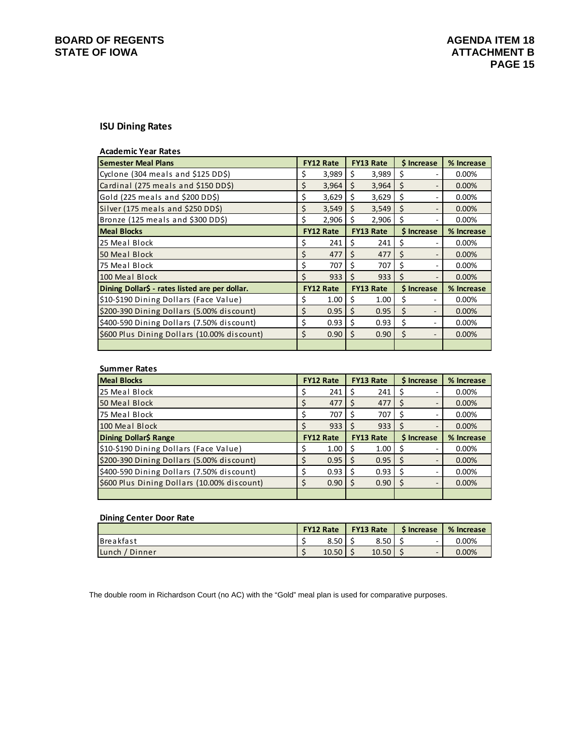# **BOARD OF REGENTS**<br> **BOARD OF REGENTS**<br> **BOARD OF IOWA**<br> **ATTACHMENT B**

## **ISU Dining Rates**

| <b>Academic Year Rates</b>                     |    |                  |     |                  |    |                          |            |
|------------------------------------------------|----|------------------|-----|------------------|----|--------------------------|------------|
| <b>Semester Meal Plans</b>                     |    | <b>FY12 Rate</b> |     | <b>FY13 Rate</b> |    | \$ Increase              | % Increase |
| Cyclone (304 meals and \$125 DD\$)             | \$ | 3,989            | \$  | 3,989            | S  |                          | 0.00%      |
| Cardinal (275 meals and \$150 DD\$)            | \$ | 3,964            | \$  | 3,964            | \$ | -                        | 0.00%      |
| Gold (225 meals and \$200 DD\$)                | \$ | 3,629            | Ŝ.  | 3,629            | Ŝ  | ۰                        | $0.00\%$   |
| Silver (175 meals and \$250 DD\$)              | \$ | 3,549            | Ś.  | 3,549            | Š. | ۰                        | 0.00%      |
| Bronze (125 meals and \$300 DD\$)              | Ś. | 2,906            | Ś   | 2,906            | Ś  |                          | $0.00\%$   |
| <b>Meal Blocks</b>                             |    | <b>FY12 Rate</b> |     | <b>FY13 Rate</b> |    | \$ Increase              | % Increase |
| 25 Meal Block                                  | \$ | 241              | Ś   | 241              | Ś  |                          | 0.00%      |
| 50 Meal Block                                  | \$ | 477              | Ś   | 477              | Ś  | $\overline{\phantom{0}}$ | 0.00%      |
| 75 Meal Block                                  | \$ | 707              | Ś   | 707              | Ś  | ٠                        | $0.00\%$   |
| 100 Meal Block                                 | Ś  | 933              | \$. | 933              | Ś  |                          | 0.00%      |
| Dining Dollar\$ - rates listed are per dollar. |    | <b>FY12 Rate</b> |     | <b>FY13 Rate</b> |    | \$ Increase              | % Increase |
| \$10-\$190 Dining Dollars (Face Value)         | Ş  | 1.00             | S   | 1.00             | Ş  |                          | 0.00%      |
| \$200-390 Dining Dollars (5.00% discount)      | \$ | 0.95             | \$  | 0.95             | \$ |                          | 0.00%      |
| \$400-590 Dining Dollars (7.50% discount)      | \$ | 0.93             | \$  | 0.93             | \$ |                          | $0.00\%$   |
| \$600 Plus Dining Dollars (10.00% discount)    | \$ | 0.90             | Ś   | 0.90             | Ś  |                          | 0.00%      |
|                                                |    |                  |     |                  |    |                          |            |

| <b>Summer Rates</b>                         |  |                   |              |                  |                   |            |
|---------------------------------------------|--|-------------------|--------------|------------------|-------------------|------------|
| <b>Meal Blocks</b>                          |  | <b>FY12 Rate</b>  |              | <b>FY13 Rate</b> | <b>S</b> Increase | % Increase |
| 25 Meal Block                               |  | 241               | S            | 241              |                   | 0.00%      |
| 50 Meal Block                               |  | 477               | S            | 477              |                   | 0.00%      |
| 75 Meal Block                               |  | 707               | ς            | 707              | S                 | 0.00%      |
| 100 Meal Block                              |  | 933               |              | 933              |                   | 0.00%      |
| Dining Dollar\$ Range                       |  | <b>FY12 Rate</b>  |              |                  |                   |            |
|                                             |  |                   |              | <b>FY13 Rate</b> | <b>S</b> Increase | % Increase |
| \$10-\$190 Dining Dollars (Face Value)      |  | 1.00 <sub>1</sub> |              | 1.00             |                   | 0.00%      |
| \$200-390 Dining Dollars (5.00% discount)   |  | 0.95              | <sub>S</sub> | 0.95             | S                 | 0.00%      |
| \$400-590 Dining Dollars (7.50% discount)   |  | 0.93              |              | 0.93             |                   | 0.00%      |
| \$600 Plus Dining Dollars (10.00% discount) |  | 0.90              |              | 0.90             |                   | 0.00%      |

### **Dining Center Door Rate**

|                  | <b>FY12 Rate</b> |       | <b>FY13 Rate</b> |       | <b>S</b> Increase |   | % Increase |  |
|------------------|------------------|-------|------------------|-------|-------------------|---|------------|--|
| <b>Breakfast</b> |                  | 8.50  |                  | 8.50  |                   |   | 0.00%      |  |
| Lunch / Dinner   |                  | 10.50 |                  | 10.50 |                   | - | $0.00\%$   |  |

The double room in Richardson Court (no AC) with the "Gold" meal plan is used for comparative purposes.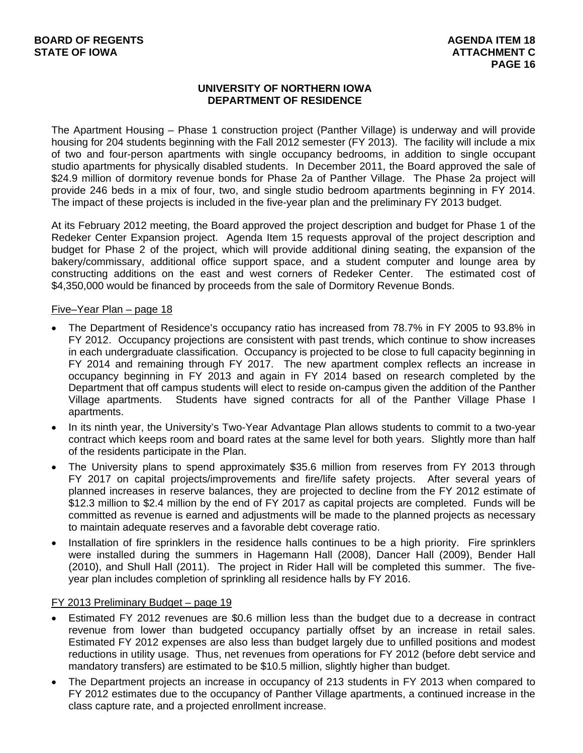# **UNIVERSITY OF NORTHERN IOWA DEPARTMENT OF RESIDENCE**

The Apartment Housing – Phase 1 construction project (Panther Village) is underway and will provide housing for 204 students beginning with the Fall 2012 semester (FY 2013). The facility will include a mix of two and four-person apartments with single occupancy bedrooms, in addition to single occupant studio apartments for physically disabled students. In December 2011, the Board approved the sale of \$24.9 million of dormitory revenue bonds for Phase 2a of Panther Village. The Phase 2a project will provide 246 beds in a mix of four, two, and single studio bedroom apartments beginning in FY 2014. The impact of these projects is included in the five-year plan and the preliminary FY 2013 budget.

At its February 2012 meeting, the Board approved the project description and budget for Phase 1 of the Redeker Center Expansion project. Agenda Item 15 requests approval of the project description and budget for Phase 2 of the project, which will provide additional dining seating, the expansion of the bakery/commissary, additional office support space, and a student computer and lounge area by constructing additions on the east and west corners of Redeker Center. The estimated cost of \$4,350,000 would be financed by proceeds from the sale of Dormitory Revenue Bonds.

## Five–Year Plan – page 18

- The Department of Residence's occupancy ratio has increased from 78.7% in FY 2005 to 93.8% in FY 2012. Occupancy projections are consistent with past trends, which continue to show increases in each undergraduate classification. Occupancy is projected to be close to full capacity beginning in FY 2014 and remaining through FY 2017. The new apartment complex reflects an increase in occupancy beginning in FY 2013 and again in FY 2014 based on research completed by the Department that off campus students will elect to reside on-campus given the addition of the Panther Village apartments. Students have signed contracts for all of the Panther Village Phase I apartments.
- In its ninth year, the University's Two-Year Advantage Plan allows students to commit to a two-year contract which keeps room and board rates at the same level for both years. Slightly more than half of the residents participate in the Plan.
- The University plans to spend approximately \$35.6 million from reserves from FY 2013 through FY 2017 on capital projects/improvements and fire/life safety projects. After several years of planned increases in reserve balances, they are projected to decline from the FY 2012 estimate of \$12.3 million to \$2.4 million by the end of FY 2017 as capital projects are completed. Funds will be committed as revenue is earned and adjustments will be made to the planned projects as necessary to maintain adequate reserves and a favorable debt coverage ratio.
- Installation of fire sprinklers in the residence halls continues to be a high priority. Fire sprinklers were installed during the summers in Hagemann Hall (2008), Dancer Hall (2009), Bender Hall (2010), and Shull Hall (2011). The project in Rider Hall will be completed this summer. The fiveyear plan includes completion of sprinkling all residence halls by FY 2016.

## FY 2013 Preliminary Budget – page 19

- Estimated FY 2012 revenues are \$0.6 million less than the budget due to a decrease in contract revenue from lower than budgeted occupancy partially offset by an increase in retail sales. Estimated FY 2012 expenses are also less than budget largely due to unfilled positions and modest reductions in utility usage. Thus, net revenues from operations for FY 2012 (before debt service and mandatory transfers) are estimated to be \$10.5 million, slightly higher than budget.
- The Department projects an increase in occupancy of 213 students in FY 2013 when compared to FY 2012 estimates due to the occupancy of Panther Village apartments, a continued increase in the class capture rate, and a projected enrollment increase.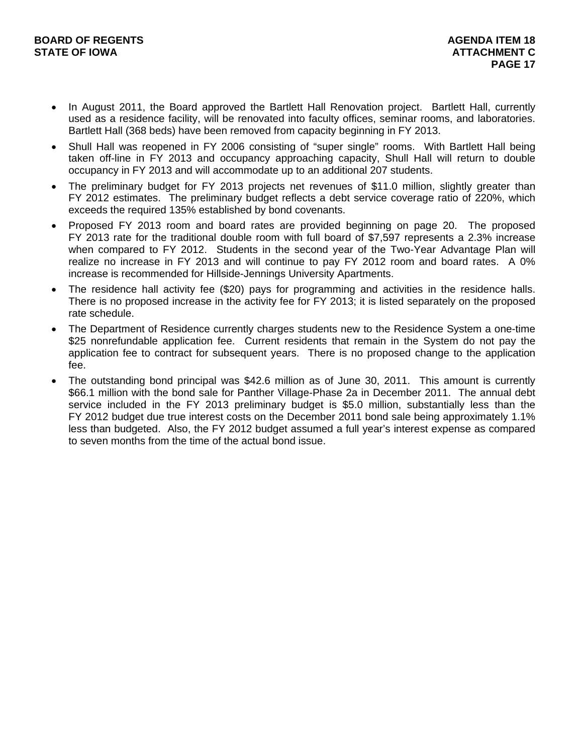- In August 2011, the Board approved the Bartlett Hall Renovation project. Bartlett Hall, currently used as a residence facility, will be renovated into faculty offices, seminar rooms, and laboratories. Bartlett Hall (368 beds) have been removed from capacity beginning in FY 2013.
- Shull Hall was reopened in FY 2006 consisting of "super single" rooms. With Bartlett Hall being taken off-line in FY 2013 and occupancy approaching capacity, Shull Hall will return to double occupancy in FY 2013 and will accommodate up to an additional 207 students.
- The preliminary budget for FY 2013 projects net revenues of \$11.0 million, slightly greater than FY 2012 estimates. The preliminary budget reflects a debt service coverage ratio of 220%, which exceeds the required 135% established by bond covenants.
- Proposed FY 2013 room and board rates are provided beginning on page 20. The proposed FY 2013 rate for the traditional double room with full board of \$7,597 represents a 2.3% increase when compared to FY 2012. Students in the second year of the Two-Year Advantage Plan will realize no increase in FY 2013 and will continue to pay FY 2012 room and board rates. A 0% increase is recommended for Hillside-Jennings University Apartments.
- The residence hall activity fee (\$20) pays for programming and activities in the residence halls. There is no proposed increase in the activity fee for FY 2013; it is listed separately on the proposed rate schedule.
- The Department of Residence currently charges students new to the Residence System a one-time \$25 nonrefundable application fee. Current residents that remain in the System do not pay the application fee to contract for subsequent years. There is no proposed change to the application fee.
- The outstanding bond principal was \$42.6 million as of June 30, 2011. This amount is currently \$66.1 million with the bond sale for Panther Village-Phase 2a in December 2011. The annual debt service included in the FY 2013 preliminary budget is \$5.0 million, substantially less than the FY 2012 budget due true interest costs on the December 2011 bond sale being approximately 1.1% less than budgeted. Also, the FY 2012 budget assumed a full year's interest expense as compared to seven months from the time of the actual bond issue.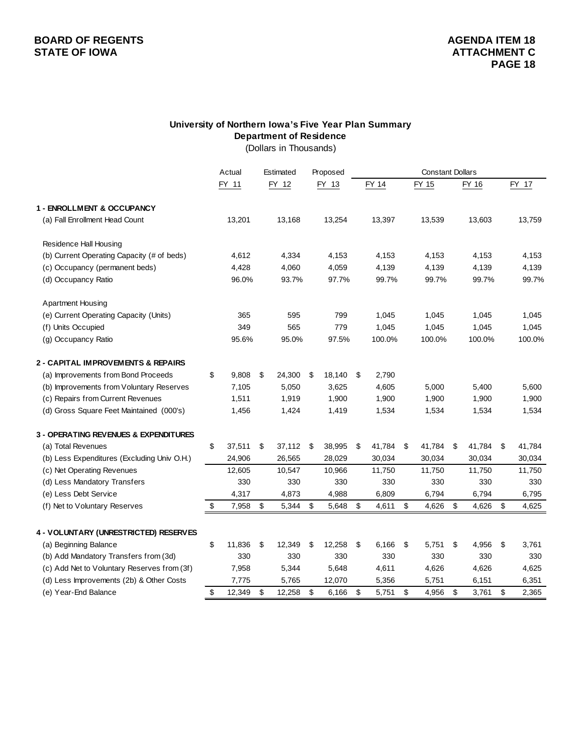# **BOARD OF REGENTS AGENER AGENERAL LIGE AGENERAL LIGE AGENERAL LIGE AGENERAL LIGE AGENERAL LIGE AGENERAL LIGE AGEN STATE OF IOWA ATTACHMENT C**  $\blacksquare$

### **University of Northern Iowa's Five Year Plan Summary Department of Residence** (Dollars in Thousands)

Actual Estimated Proposed FY 11 FY 12 FY 13 FY 14 FY 15 FY 16 FY 17 13,168 13,201 13,254 13,397 13,539 13,603 13,759 4,334 4,612 4,153 4,153 4,153 4,153 4,153 4,060 4,428 4,059 4,139 4,139 4,139 4,139 96.0% 93.7% 97.7% 99.7% 99.7% 99.7% 99.7% Apartment Housing 595 365 799 1,045 1,045 1,045 1,045 565 349 779 1,045 1,045 1,045 1,045 95.6% 95.0% 97.5% 100.0% 100.0% 100.0% 100.0% \$ 9,808 \$ 24,300 \$ 18,140 \$ 2,790 5,050 7,105 3,625 4,605 5,000 5,400 5,600 1,919 1,511 1,900 1,900 1,900 1,900 1,900 1,424 1,456 1,419 1,534 1,534 1,534 1,534 (a) Total Revenues 41,784 \$ 37,511 \$ 37,511 \$ 37,112 \$ 38,995 \$ 41,784 \$ 41,784 \$ 41,784 \$ 41,784 26,565 24,906 28,029 30,034 30,034 30,034 30,034 10,547 12,605 10,966 11,750 11,750 11,750 11,750 330 330 330 330 330 330 330 4,873 4,317 4,988 6,809 6,794 6,794 6,795 \$ 5,344 7,958 \$ 5,648 \$ 4,611 \$ 4,626 \$ 4,626 \$ 4,625 \$ (a) Beginning Balance 11,836 \$ 11,836 \$ 12,349 \$ 12,258 \$ 6,166 \$ 5,751 \$ 4,956 \$ 3,761 (b) Add Mandatory Transfers from (3d) 330 330 330 330 330 330 330 (c) Add Net to Voluntary Reserves from (3f) 7,958 5,344 5,648 4,611 4,626 4,626 4,625 (d) Less Improvements (2b) & Other Costs 7,775 5,765 12,070 5,356 5,751 6,151 6,351 (e) Year-End Balance 12,365 \$ 12,349 \$ 12,258 \$ 6,166 \$ 5,751 \$ 4,956 \$ 3,761 \$ 2,365 (f) Units Occupied (d) Occupancy Ratio (e) Current Operating Capacity (Units) (b) Improvements from Voluntary Reserves (g) Occupancy Ratio **2 - CAPITAL IMPROVEMENTS & REPAIRS** (a) Improvements from Bond Proceeds (c) Occupancy (permanent beds) **1 - ENROLLMENT & OCCUPANCY** Constant Dollars (a) Fall Enrollment Head Count Residence Hall Housing (b) Current Operating Capacity (# of beds) (c) Repairs from Current Revenues **4 - VOLUNTARY (UNRESTRICTED) RESERVES** (f) Net to Voluntary Reserves (d) Gross Square Feet Maintained (000's) (b) Less Expenditures (Excluding Univ O.H.) **3 - OPERATING REVENUES & EXPENDITURES** (c) Net Operating Revenues (d) Less Mandatory Transfers (e) Less Debt Service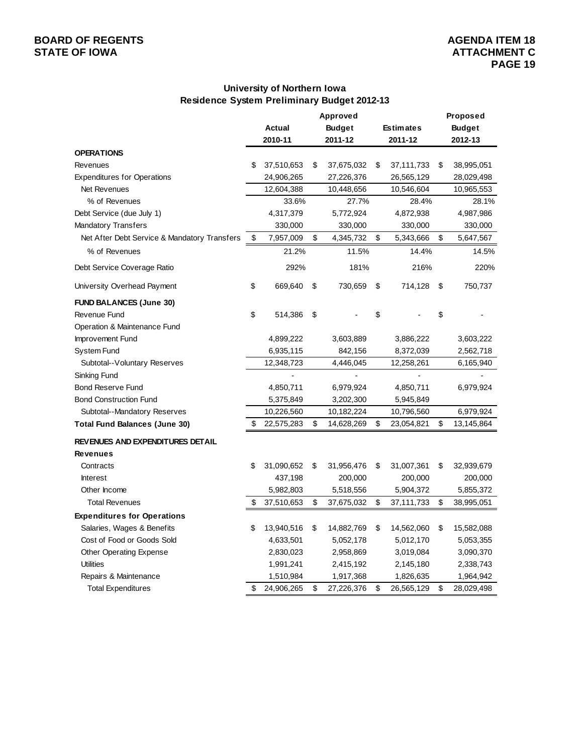# **BOARD OF REGENTS**<br> **BOARD OF REGENTS**<br> **BOARD OF IOWA**<br> **ATTACHMENT C**

# **University of Northern Iowa Residence System Preliminary Budget 2012-13**

|                                              |                  | Approved         |                  | Proposed         |
|----------------------------------------------|------------------|------------------|------------------|------------------|
|                                              | Actual           | <b>Budget</b>    | <b>Estimates</b> | <b>Budget</b>    |
|                                              | 2010-11          | 2011-12          | 2011-12          | 2012-13          |
| <b>OPERATIONS</b>                            |                  |                  |                  |                  |
| Revenues                                     | \$<br>37,510,653 | \$<br>37,675,032 | \$<br>37,111,733 | \$<br>38,995,051 |
| <b>Expenditures for Operations</b>           | 24,906,265       | 27,226,376       | 26,565,129       | 28,029,498       |
| Net Revenues                                 | 12,604,388       | 10,448,656       | 10,546,604       | 10,965,553       |
| % of Revenues                                | 33.6%            | 27.7%            | 28.4%            | 28.1%            |
| Debt Service (due July 1)                    | 4,317,379        | 5,772,924        | 4,872,938        | 4,987,986        |
| Mandatory Transfers                          | 330,000          | 330,000          | 330,000          | 330,000          |
| Net After Debt Service & Mandatory Transfers | \$<br>7,957,009  | \$<br>4,345,732  | \$<br>5,343,666  | \$<br>5,647,567  |
| % of Revenues                                | 21.2%            | 11.5%            | 14.4%            | 14.5%            |
| Debt Service Coverage Ratio                  | 292%             | 181%             | 216%             | 220%             |
| University Overhead Payment                  | \$<br>669,640    | \$<br>730,659    | \$<br>714,128    | \$<br>750,737    |
| <b>FUND BALANCES (June 30)</b>               |                  |                  |                  |                  |
| Revenue Fund                                 | \$<br>514,386    | \$               | \$               | \$               |
| Operation & Maintenance Fund                 |                  |                  |                  |                  |
| Improvement Fund                             | 4,899,222        | 3,603,889        | 3,886,222        | 3,603,222        |
| <b>System Fund</b>                           | 6,935,115        | 842,156          | 8,372,039        | 2,562,718        |
| Subtotal--Voluntary Reserves                 | 12,348,723       | 4,446,045        | 12,258,261       | 6,165,940        |
| Sinking Fund                                 |                  |                  |                  |                  |
| <b>Bond Reserve Fund</b>                     | 4,850,711        | 6,979,924        | 4,850,711        | 6,979,924        |
| <b>Bond Construction Fund</b>                | 5,375,849        | 3,202,300        | 5,945,849        |                  |
| Subtotal--Mandatory Reserves                 | 10,226,560       | 10,182,224       | 10,796,560       | 6,979,924        |
| <b>Total Fund Balances (June 30)</b>         | \$<br>22,575,283 | \$<br>14,628,269 | \$<br>23,054,821 | \$<br>13,145,864 |
| <b>REVENUES AND EXPENDITURES DETAIL</b>      |                  |                  |                  |                  |
| <b>Revenues</b>                              |                  |                  |                  |                  |
| Contracts                                    | \$<br>31,090,652 | \$<br>31,956,476 | \$<br>31,007,361 | \$<br>32,939,679 |
| <b>Interest</b>                              | 437,198          | 200,000          | 200,000          | 200,000          |
| Other Income                                 | 5,982,803        | 5,518,556        | 5,904,372        | 5,855,372        |
| <b>Total Revenues</b>                        | \$<br>37,510,653 | \$<br>37,675,032 | \$<br>37,111,733 | \$<br>38,995,051 |
| <b>Expenditures for Operations</b>           |                  |                  |                  |                  |
| Salaries, Wages & Benefits                   | \$<br>13,940,516 | \$<br>14,882,769 | \$<br>14,562,060 | \$<br>15,582,088 |
| Cost of Food or Goods Sold                   | 4,633,501        | 5,052,178        | 5,012,170        | 5,053,355        |
| <b>Other Operating Expense</b>               | 2,830,023        | 2,958,869        | 3,019,084        | 3,090,370        |
| <b>Utilities</b>                             | 1,991,241        | 2,415,192        | 2,145,180        | 2,338,743        |
| Repairs & Maintenance                        | 1,510,984        | 1,917,368        | 1,826,635        | 1,964,942        |
| <b>Total Expenditures</b>                    | \$<br>24,906,265 | \$<br>27,226,376 | \$<br>26,565,129 | \$<br>28,029,498 |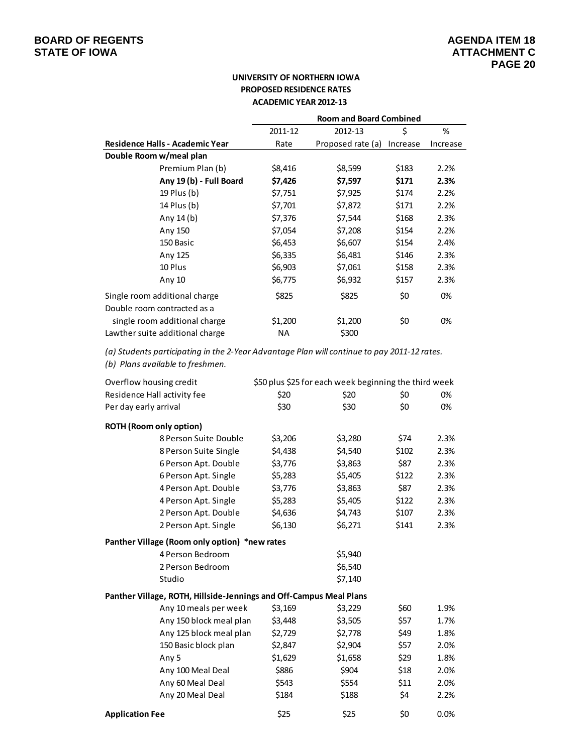## **UNIVERSITY OF NORTHERN IOWA PROPOSED RESIDENCE RATES ACADEMIC YEAR 2012‐13**

|                                 | <b>Room and Board Combined</b> |                   |          |          |  |  |  |  |
|---------------------------------|--------------------------------|-------------------|----------|----------|--|--|--|--|
|                                 | 2011-12                        | 2012-13           | \$       | %        |  |  |  |  |
| Residence Halls - Academic Year | Rate                           | Proposed rate (a) | Increase | Increase |  |  |  |  |
| Double Room w/meal plan         |                                |                   |          |          |  |  |  |  |
| Premium Plan (b)                | \$8,416                        | \$8,599           | \$183    | 2.2%     |  |  |  |  |
| Any 19 (b) - Full Board         | \$7,426                        | \$7,597           | \$171    | 2.3%     |  |  |  |  |
| 19 Plus (b)                     | \$7,751                        | \$7,925           | \$174    | 2.2%     |  |  |  |  |
| 14 Plus (b)                     | \$7,701                        | \$7,872           | \$171    | 2.2%     |  |  |  |  |
| Any $14(b)$                     | \$7,376                        | \$7,544           | \$168    | 2.3%     |  |  |  |  |
| Any 150                         | \$7,054                        | \$7,208           | \$154    | 2.2%     |  |  |  |  |
| 150 Basic                       | \$6,453                        | \$6,607           | \$154    | 2.4%     |  |  |  |  |
| Any 125                         | \$6,335                        | \$6,481           | \$146    | 2.3%     |  |  |  |  |
| 10 Plus                         | \$6,903                        | \$7,061           | \$158    | 2.3%     |  |  |  |  |
| Any 10                          | \$6,775                        | \$6,932           | \$157    | 2.3%     |  |  |  |  |
| Single room additional charge   | \$825                          | \$825             | \$0      | 0%       |  |  |  |  |
| Double room contracted as a     |                                |                   |          |          |  |  |  |  |
| single room additional charge   | \$1,200                        | \$1,200           | \$0      | 0%       |  |  |  |  |
| Lawther suite additional charge | ΝA                             | \$300             |          |          |  |  |  |  |

*(a) Students participating in the 2‐Year Advantage Plan will continue to pay 2011‐12 rates.*

*(b) Plans available to freshmen.*

| Overflow housing credit                                            | \$50 plus \$25 for each week beginning the third week |         |       |      |
|--------------------------------------------------------------------|-------------------------------------------------------|---------|-------|------|
| Residence Hall activity fee                                        | \$20                                                  | \$20    | \$0   | 0%   |
| Per day early arrival                                              | \$30                                                  | \$30    | \$0   | 0%   |
| <b>ROTH (Room only option)</b>                                     |                                                       |         |       |      |
| 8 Person Suite Double                                              | \$3,206                                               | \$3,280 | \$74  | 2.3% |
| 8 Person Suite Single                                              | \$4,438                                               | \$4,540 | \$102 | 2.3% |
| 6 Person Apt. Double                                               | \$3,776                                               | \$3,863 | \$87  | 2.3% |
| 6 Person Apt. Single                                               | \$5,283                                               | \$5,405 | \$122 | 2.3% |
| 4 Person Apt. Double                                               | \$3,776                                               | \$3,863 | \$87  | 2.3% |
| 4 Person Apt. Single                                               | \$5,283                                               | \$5,405 | \$122 | 2.3% |
| 2 Person Apt. Double                                               | \$4,636                                               | \$4,743 | \$107 | 2.3% |
| 2 Person Apt. Single                                               | \$6,130                                               | \$6,271 | \$141 | 2.3% |
| Panther Village (Room only option) *new rates                      |                                                       |         |       |      |
| 4 Person Bedroom                                                   |                                                       | \$5,940 |       |      |
| 2 Person Bedroom                                                   |                                                       | \$6,540 |       |      |
| Studio                                                             |                                                       | \$7,140 |       |      |
| Panther Village, ROTH, Hillside-Jennings and Off-Campus Meal Plans |                                                       |         |       |      |
| Any 10 meals per week                                              | \$3,169                                               | \$3,229 | \$60  | 1.9% |
| Any 150 block meal plan                                            | \$3,448                                               | \$3,505 | \$57  | 1.7% |
| Any 125 block meal plan                                            | \$2,729                                               | \$2,778 | \$49  | 1.8% |
| 150 Basic block plan                                               | \$2,847                                               | \$2,904 | \$57  | 2.0% |
| Any 5                                                              | \$1,629                                               | \$1,658 | \$29  | 1.8% |
| Any 100 Meal Deal                                                  | \$886                                                 | \$904   | \$18  | 2.0% |
| Any 60 Meal Deal                                                   | \$543                                                 | \$554   | \$11  | 2.0% |
| Any 20 Meal Deal                                                   | \$184                                                 | \$188   | \$4   | 2.2% |
| <b>Application Fee</b>                                             | \$25                                                  | \$25    | \$0   | 0.0% |